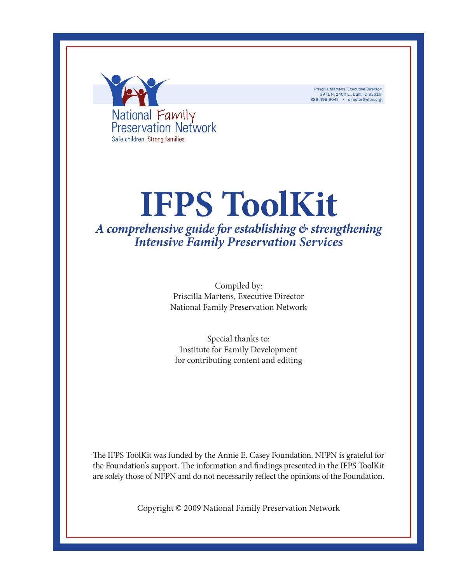

Priscilla Martens, Executive Director<br>3971 N. 1400 E., Buhl, ID 83316<br>888-498-9047 • director@nfpn.org

# **IFPS ToolKit** *A comprehensive guide for establishing & strengthening*

*Intensive Family Preservation Services*

Compiled by: Priscilla Martens, Executive Director National Family Preservation Network

Special thanks to: Institute for Family Development for contributing content and editing

The IFPS ToolKit was funded by the Annie E. Casey Foundation. NFPN is grateful for the Foundation's support. The information and findings presented in the IFPS ToolKit are solely those of NFPN and do not necessarily reflect the opinions of the Foundation.

Copyright © 2009 National Family Preservation Network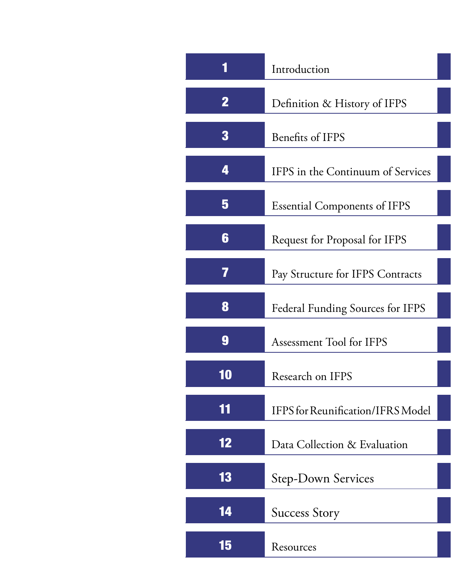<span id="page-1-0"></span>

|             | Introduction                             |  |  |  |
|-------------|------------------------------------------|--|--|--|
| $\mathbf 2$ | Definition & History of IFPS             |  |  |  |
| 3           | <b>Benefits of IFPS</b>                  |  |  |  |
| 4           | IFPS in the Continuum of Services        |  |  |  |
| 5           | <b>Essential Components of IFPS</b>      |  |  |  |
| 6           | Request for Proposal for IFPS            |  |  |  |
| 7           | Pay Structure for IFPS Contracts         |  |  |  |
| 8           | <b>Federal Funding Sources for IFPS</b>  |  |  |  |
| 9           | Assessment Tool for IFPS                 |  |  |  |
| ilO         | Research on IFPS                         |  |  |  |
| 11          | <b>IFPS</b> for Reunification/IFRS Model |  |  |  |
| 12          | Data Collection & Evaluation             |  |  |  |
| 13          | <b>Step-Down Services</b>                |  |  |  |
| 14          | <b>Success Story</b>                     |  |  |  |
| 15          | Resources                                |  |  |  |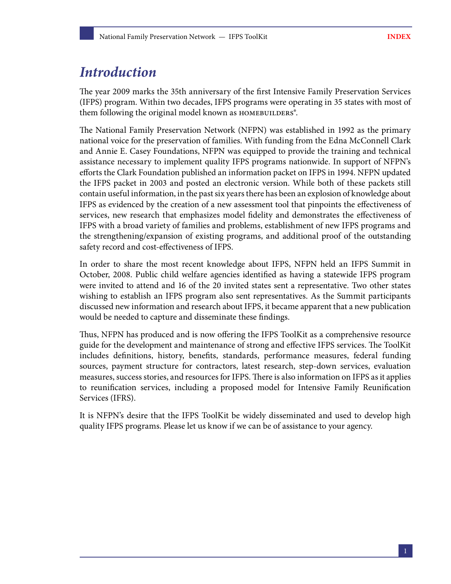## <span id="page-2-0"></span>*Introduction*

The year 2009 marks the 35th anniversary of the first Intensive Family Preservation Services (IFPS) program. Within two decades, IFPS programs were operating in 35 states with most of them following the original model known as HOMEBUILDERS®.

The National Family Preservation Network (NFPN) was established in 1992 as the primary national voice for the preservation of families. With funding from the Edna McConnell Clark and Annie E. Casey Foundations, NFPN was equipped to provide the training and technical assistance necessary to implement quality IFPS programs nationwide. In support of NFPN's efforts the Clark Foundation published an information packet on IFPS in 1994. NFPN updated the IFPS packet in 2003 and posted an electronic version. While both of these packets still contain useful information, in the past six years there has been an explosion of knowledge about IFPS as evidenced by the creation of a new assessment tool that pinpoints the effectiveness of services, new research that emphasizes model fidelity and demonstrates the effectiveness of IFPS with a broad variety of families and problems, establishment of new IFPS programs and the strengthening/expansion of existing programs, and additional proof of the outstanding safety record and cost-effectiveness of IFPS.

In order to share the most recent knowledge about IFPS, NFPN held an IFPS Summit in October, 2008. Public child welfare agencies identified as having a statewide IFPS program were invited to attend and 16 of the 20 invited states sent a representative. Two other states wishing to establish an IFPS program also sent representatives. As the Summit participants discussed new information and research about IFPS, it became apparent that a new publication would be needed to capture and disseminate these findings.

Thus, NFPN has produced and is now offering the IFPS ToolKit as a comprehensive resource guide for the development and maintenance of strong and effective IFPS services. The ToolKit includes definitions, history, benefits, standards, performance measures, federal funding sources, payment structure for contractors, latest research, step-down services, evaluation measures, success stories, and resources for IFPS. There is also information on IFPS as it applies to reunification services, including a proposed model for Intensive Family Reunification Services (IFRS).

It is NFPN's desire that the IFPS ToolKit be widely disseminated and used to develop high quality IFPS programs. Please let us know if we can be of assistance to your agency.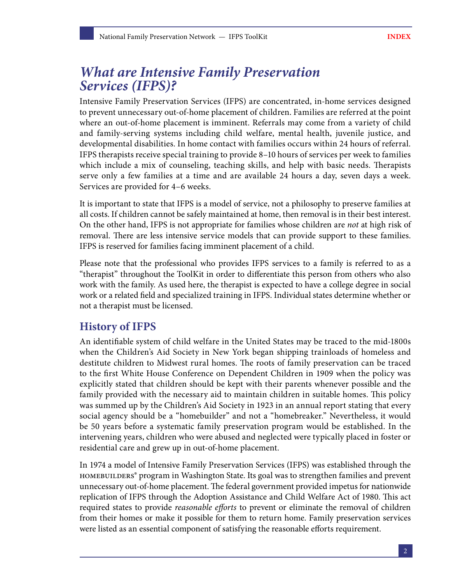## <span id="page-3-0"></span>*What are Intensive Family Preservation Services (IFPS)?*

Intensive Family Preservation Services (IFPS) are concentrated, in-home services designed to prevent unnecessary out-of-home placement of children. Families are referred at the point where an out-of-home placement is imminent. Referrals may come from a variety of child and family-serving systems including child welfare, mental health, juvenile justice, and developmental disabilities. In home contact with families occurs within 24 hours of referral. IFPS therapists receive special training to provide 8–10 hours of services per week to families which include a mix of counseling, teaching skills, and help with basic needs. Therapists serve only a few families at a time and are available 24 hours a day, seven days a week. Services are provided for 4–6 weeks.

It is important to state that IFPS is a model of service, not a philosophy to preserve families at all costs. If children cannot be safely maintained at home, then removal is in their best interest. On the other hand, IFPS is not appropriate for families whose children are *not* at high risk of removal. There are less intensive service models that can provide support to these families. IFPS is reserved for families facing imminent placement of a child.

Please note that the professional who provides IFPS services to a family is referred to as a "therapist" throughout the ToolKit in order to differentiate this person from others who also work with the family. As used here, the therapist is expected to have a college degree in social work or a related field and specialized training in IFPS. Individual states determine whether or not a therapist must be licensed.

### **History of IFPS**

An identifiable system of child welfare in the United States may be traced to the mid-1800s when the Children's Aid Society in New York began shipping trainloads of homeless and destitute children to Midwest rural homes. The roots of family preservation can be traced to the first White House Conference on Dependent Children in 1909 when the policy was explicitly stated that children should be kept with their parents whenever possible and the family provided with the necessary aid to maintain children in suitable homes. This policy was summed up by the Children's Aid Society in 1923 in an annual report stating that every social agency should be a "homebuilder" and not a "homebreaker." Nevertheless, it would be 50 years before a systematic family preservation program would be established. In the intervening years, children who were abused and neglected were typically placed in foster or residential care and grew up in out-of-home placement.

In 1974 a model of Intensive Family Preservation Services (IFPS) was established through the homebuilders® program in Washington State. Its goal was to strengthen families and prevent unnecessary out-of-home placement. The federal government provided impetus for nationwide replication of IFPS through the Adoption Assistance and Child Welfare Act of 1980. This act required states to provide *reasonable efforts* to prevent or eliminate the removal of children from their homes or make it possible for them to return home. Family preservation services were listed as an essential component of satisfying the reasonable efforts requirement.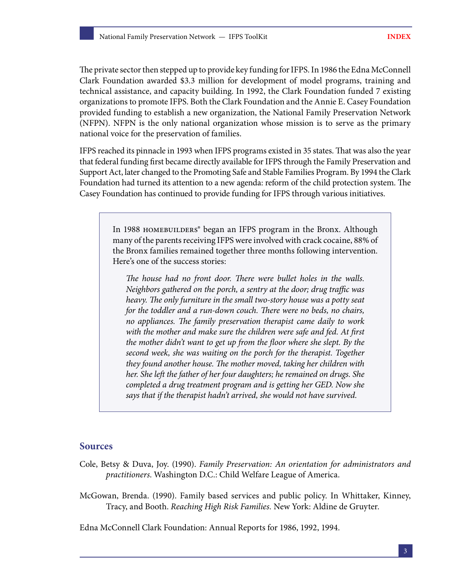The private sector then stepped up to provide key funding for IFPS. In 1986 the Edna McConnell Clark Foundation awarded \$3.3 million for development of model programs, training and technical assistance, and capacity building. In 1992, the Clark Foundation funded 7 existing organizations to promote IFPS. Both the Clark Foundation and the Annie E. Casey Foundation provided funding to establish a new organization, the National Family Preservation Network (NFPN). NFPN is the only national organization whose mission is to serve as the primary national voice for the preservation of families.

IFPS reached its pinnacle in 1993 when IFPS programs existed in 35 states. That was also the year that federal funding first became directly available for IFPS through the Family Preservation and Support Act, later changed to the Promoting Safe and Stable Families Program. By 1994 the Clark Foundation had turned its attention to a new agenda: reform of the child protection system. The Casey Foundation has continued to provide funding for IFPS through various initiatives.

In 1988 HOMEBUILDERS® began an IFPS program in the Bronx. Although many of the parents receiving IFPS were involved with crack cocaine, 88% of the Bronx families remained together three months following intervention. Here's one of the success stories:

*The house had no front door. There were bullet holes in the walls. Neighbors gathered on the porch, a sentry at the door; drug traffic was heavy. The only furniture in the small two-story house was a potty seat for the toddler and a run-down couch. There were no beds, no chairs, no appliances. The family preservation therapist came daily to work with the mother and make sure the children were safe and fed. At first the mother didn't want to get up from the floor where she slept. By the second week, she was waiting on the porch for the therapist. Together they found another house. The mother moved, taking her children with her. She left the father of her four daughters; he remained on drugs. She completed a drug treatment program and is getting her GED. Now she says that if the therapist hadn't arrived, she would not have survived.*

#### **Sources**

- Cole, Betsy & Duva, Joy. (1990). *Family Preservation: An orientation for administrators and practitioners*. Washington D.C.: Child Welfare League of America.
- McGowan, Brenda. (1990). Family based services and public policy. In Whittaker, Kinney, Tracy, and Booth. *Reaching High Risk Families.* New York: Aldine de Gruyter.

Edna McConnell Clark Foundation: Annual Reports for 1986, 1992, 1994.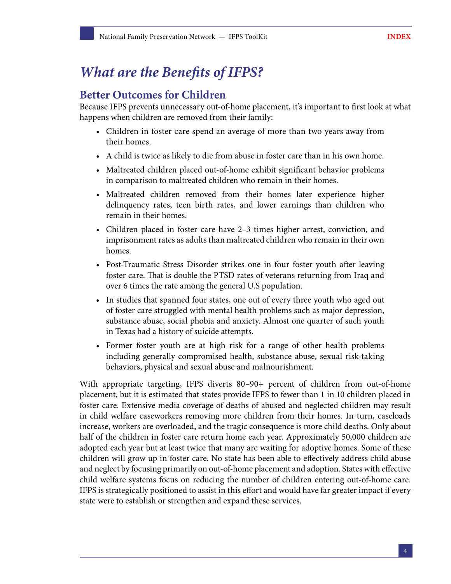## <span id="page-5-0"></span>*What are the Benefits of IFPS?*

### **Better Outcomes for Children**

Because IFPS prevents unnecessary out-of-home placement, it's important to first look at what happens when children are removed from their family:

- Children in foster care spend an average of more than two years away from their homes.
- A child is twice as likely to die from abuse in foster care than in his own home.
- Maltreated children placed out-of-home exhibit significant behavior problems in comparison to maltreated children who remain in their homes.
- Maltreated children removed from their homes later experience higher delinquency rates, teen birth rates, and lower earnings than children who remain in their homes.
- Children placed in foster care have 2–3 times higher arrest, conviction, and imprisonment rates as adults than maltreated children who remain in their own homes.
- Post-Traumatic Stress Disorder strikes one in four foster youth after leaving foster care. That is double the PTSD rates of veterans returning from Iraq and over 6 times the rate among the general U.S population.
- In studies that spanned four states, one out of every three youth who aged out of foster care struggled with mental health problems such as major depression, substance abuse, social phobia and anxiety. Almost one quarter of such youth in Texas had a history of suicide attempts.
- Former foster youth are at high risk for a range of other health problems including generally compromised health, substance abuse, sexual risk-taking behaviors, physical and sexual abuse and malnourishment.

With appropriate targeting, IFPS diverts 80–90+ percent of children from out-of-home placement, but it is estimated that states provide IFPS to fewer than 1 in 10 children placed in foster care. Extensive media coverage of deaths of abused and neglected children may result in child welfare caseworkers removing more children from their homes. In turn, caseloads increase, workers are overloaded, and the tragic consequence is more child deaths. Only about half of the children in foster care return home each year. Approximately 50,000 children are adopted each year but at least twice that many are waiting for adoptive homes. Some of these children will grow up in foster care. No state has been able to effectively address child abuse and neglect by focusing primarily on out-of-home placement and adoption. States with effective child welfare systems focus on reducing the number of children entering out-of-home care. IFPS is strategically positioned to assist in this effort and would have far greater impact if every state were to establish or strengthen and expand these services.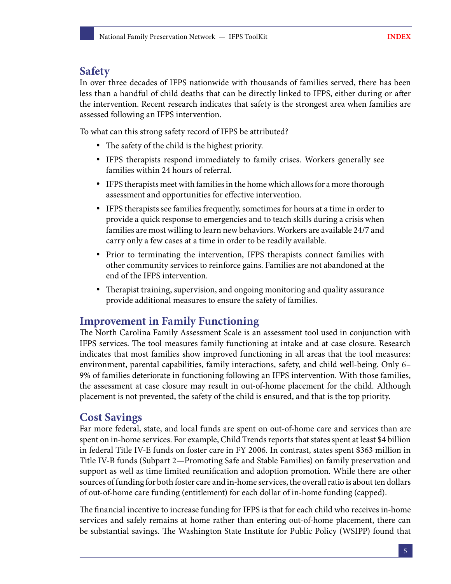### **Safety**

In over three decades of IFPS nationwide with thousands of families served, there has been less than a handful of child deaths that can be directly linked to IFPS, either during or after the intervention. Recent research indicates that safety is the strongest area when families are assessed following an IFPS intervention.

To what can this strong safety record of IFPS be attributed?

- The safety of the child is the highest priority.
- IFPS therapists respond immediately to family crises. Workers generally see families within 24 hours of referral.
- IFPS therapists meet with families in the home which allows for a more thorough assessment and opportunities for effective intervention.
- IFPS therapists see families frequently, sometimes for hours at a time in order to provide a quick response to emergencies and to teach skills during a crisis when families are most willing to learn new behaviors. Workers are available 24/7 and carry only a few cases at a time in order to be readily available.
- Prior to terminating the intervention, IFPS therapists connect families with other community services to reinforce gains. Families are not abandoned at the end of the IFPS intervention.
- Therapist training, supervision, and ongoing monitoring and quality assurance provide additional measures to ensure the safety of families.

### **Improvement in Family Functioning**

The North Carolina Family Assessment Scale is an assessment tool used in conjunction with IFPS services. The tool measures family functioning at intake and at case closure. Research indicates that most families show improved functioning in all areas that the tool measures: environment, parental capabilities, family interactions, safety, and child well-being. Only 6– 9% of families deteriorate in functioning following an IFPS intervention. With those families, the assessment at case closure may result in out-of-home placement for the child. Although placement is not prevented, the safety of the child is ensured, and that is the top priority.

### **Cost Savings**

Far more federal, state, and local funds are spent on out-of-home care and services than are spent on in-home services. For example, Child Trends reports that states spent at least \$4 billion in federal Title IV-E funds on foster care in FY 2006. In contrast, states spent \$363 million in Title IV-B funds (Subpart 2—Promoting Safe and Stable Families) on family preservation and support as well as time limited reunification and adoption promotion. While there are other sources of funding for both foster care and in-home services, the overall ratio is about ten dollars of out-of-home care funding (entitlement) for each dollar of in-home funding (capped).

The financial incentive to increase funding for IFPS is that for each child who receives in-home services and safely remains at home rather than entering out-of-home placement, there can be substantial savings. The Washington State Institute for Public Policy (WSIPP) found that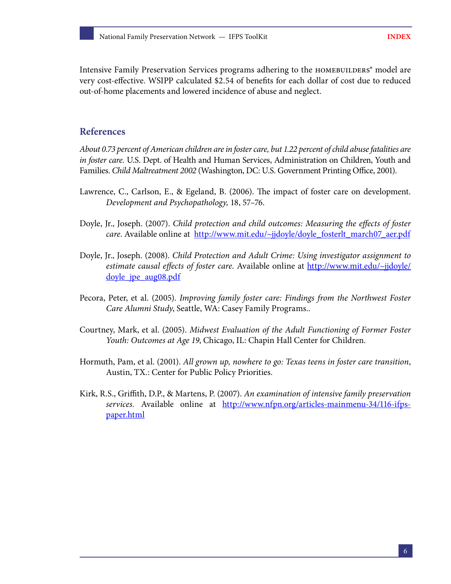Intensive Family Preservation Services programs adhering to the HOMEBUILDERS<sup>®</sup> model are very cost-effective. WSIPP calculated \$2.54 of benefits for each dollar of cost due to reduced out-of-home placements and lowered incidence of abuse and neglect.

#### **References**

*About 0.73 percent of American children are in foster care, but 1.22 percent of child abuse fatalities are in foster care.* U.S. Dept. of Health and Human Services, Administration on Children, Youth and Families. *Child Maltreatment 2002* (Washington, DC: U.S. Government Printing Office, 2001).

- Lawrence, C., Carlson, E., & Egeland, B. (2006). The impact of foster care on development. *Development and Psychopathology,* 18, 57–76.
- Doyle, Jr., Joseph. (2007). *Child protection and child outcomes: Measuring the effects of foster care*. Available online at [http://www.mit.edu/~jjdoyle/doyle\\_fosterlt\\_march07\\_aer.pdf](http://www.mit.edu/~jjdoyle/doyle_fosterlt_march07_aer.pdf)
- Doyle, Jr., Joseph. (2008). *Child Protection and Adult Crime: Using investigator assignment to estimate causal effects of foster care*. Available online at [http://www.mit.edu/~jjdoyle/](http://www.mit.edu/~jjdoyle/doyle_jpe_aug08.pdf) [doyle\\_jpe\\_aug08.pdf](http://www.mit.edu/~jjdoyle/doyle_jpe_aug08.pdf)
- Pecora, Peter, et al. (2005). *Improving family foster care: Findings from the Northwest Foster Care Alumni Study*, Seattle, WA: Casey Family Programs..
- Courtney, Mark, et al. (2005). *Midwest Evaluation of the Adult Functioning of Former Foster Youth: Outcomes at Age 19*, Chicago, IL: Chapin Hall Center for Children.
- Hormuth, Pam, et al. (2001). *All grown up, nowhere to go: Texas teens in foster care transition*, Austin, TX.: Center for Public Policy Priorities.
- Kirk, R.S., Griffith, D.P., & Martens, P. (2007). *An examination of intensive family preservation*  services. Available online at [http://www.nfpn.org/articles-mainmenu-34/116-ifps](http://www.nfpn.org/articles-mainmenu-34/116-ifps-paper.html)[paper.html](http://www.nfpn.org/articles-mainmenu-34/116-ifps-paper.html)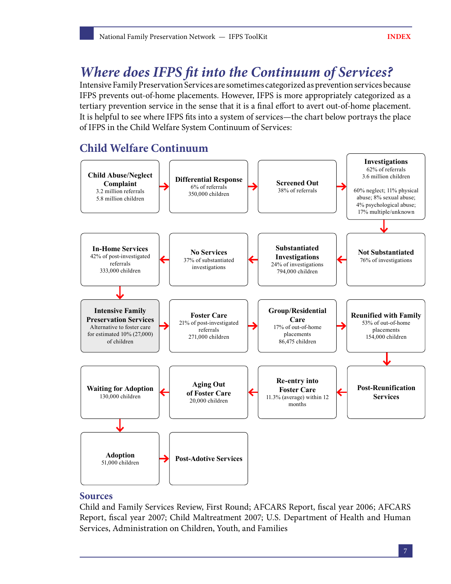## <span id="page-8-0"></span>*Where does IFPS fit into the Continuum of Services?*

Intensive Family Preservation Services are sometimes categorized as prevention services because IFPS prevents out-of-home placements. However, IFPS is more appropriately categorized as a tertiary prevention service in the sense that it is a final effort to avert out-of-home placement. It is helpful to see where IFPS fits into a system of services—the chart below portrays the place of IFPS in the Child Welfare System Continuum of Services:

## **Child Welfare Continuum**



#### **Sources**

Child and Family Services Review, First Round; AFCARS Report, fiscal year 2006; AFCARS Report, fiscal year 2007; Child Maltreatment 2007; U.S. Department of Health and Human Services, Administration on Children, Youth, and Families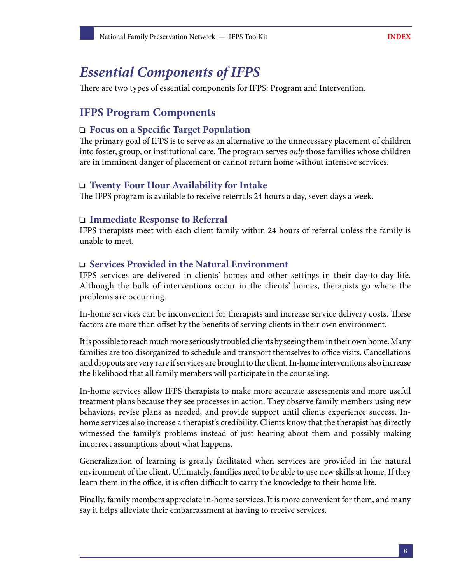## <span id="page-9-0"></span>*Essential Components of IFPS*

There are two types of essential components for IFPS: Program and Intervention.

## **IFPS Program Components**

#### **Focus on a Specific Target Population**

The primary goal of IFPS is to serve as an alternative to the unnecessary placement of children into foster, group, or institutional care. The program serves *only* those families whose children are in imminent danger of placement or cannot return home without intensive services.

#### **Twenty-Four Hour Availability for Intake**

The IFPS program is available to receive referrals 24 hours a day, seven days a week.

#### **Immediate Response to Referral**

IFPS therapists meet with each client family within 24 hours of referral unless the family is unable to meet.

#### **Services Provided in the Natural Environment**

IFPS services are delivered in clients' homes and other settings in their day-to-day life. Although the bulk of interventions occur in the clients' homes, therapists go where the problems are occurring.

In-home services can be inconvenient for therapists and increase service delivery costs. These factors are more than offset by the benefits of serving clients in their own environment.

It is possible to reach much more seriously troubled clients by seeing them in their own home. Many families are too disorganized to schedule and transport themselves to office visits. Cancellations and dropouts are very rare if services are brought to the client. In-home interventions also increase the likelihood that all family members will participate in the counseling.

In-home services allow IFPS therapists to make more accurate assessments and more useful treatment plans because they see processes in action. They observe family members using new behaviors, revise plans as needed, and provide support until clients experience success. Inhome services also increase a therapist's credibility. Clients know that the therapist has directly witnessed the family's problems instead of just hearing about them and possibly making incorrect assumptions about what happens.

Generalization of learning is greatly facilitated when services are provided in the natural environment of the client. Ultimately, families need to be able to use new skills at home. If they learn them in the office, it is often difficult to carry the knowledge to their home life.

Finally, family members appreciate in-home services. It is more convenient for them, and many say it helps alleviate their embarrassment at having to receive services.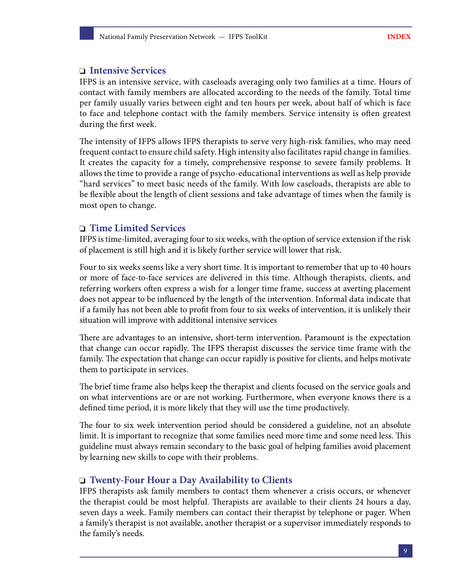#### **Intensive Services**

IFPS is an intensive service, with caseloads averaging only two families at a time. Hours of contact with family members are allocated according to the needs of the family. Total time per family usually varies between eight and ten hours per week, about half of which is face to face and telephone contact with the family members. Service intensity is often greatest during the first week.

The intensity of IFPS allows IFPS therapists to serve very high-risk families, who may need frequent contact to ensure child safety. High intensity also facilitates rapid change in families. It creates the capacity for a timely, comprehensive response to severe family problems. It allows the time to provide a range of psycho-educational interventions as well as help provide "hard services" to meet basic needs of the family. With low caseloads, therapists are able to be flexible about the length of client sessions and take advantage of times when the family is most open to change.

#### **Time Limited Services**

IFPS is time-limited, averaging four to six weeks, with the option of service extension if the risk of placement is still high and it is likely further service will lower that risk.

Four to six weeks seems like a very short time. It is important to remember that up to 40 hours or more of face-to-face services are delivered in this time. Although therapists, clients, and referring workers often express a wish for a longer time frame, success at averting placement does not appear to be influenced by the length of the intervention. Informal data indicate that if a family has not been able to profit from four to six weeks of intervention, it is unlikely their situation will improve with additional intensive services

There are advantages to an intensive, short-term intervention. Paramount is the expectation that change can occur rapidly. The IFPS therapist discusses the service time frame with the family. The expectation that change can occur rapidly is positive for clients, and helps motivate them to participate in services.

The brief time frame also helps keep the therapist and clients focused on the service goals and on what interventions are or are not working. Furthermore, when everyone knows there is a defined time period, it is more likely that they will use the time productively.

The four to six week intervention period should be considered a guideline, not an absolute limit. It is important to recognize that some families need more time and some need less. This guideline must always remain secondary to the basic goal of helping families avoid placement by learning new skills to cope with their problems.

#### **Twenty-Four Hour a Day Availability to Clients**

IFPS therapists ask family members to contact them whenever a crisis occurs, or whenever the therapist could be most helpful. Therapists are available to their clients 24 hours a day, seven days a week. Family members can contact their therapist by telephone or pager. When a family's therapist is not available, another therapist or a supervisor immediately responds to the family's needs.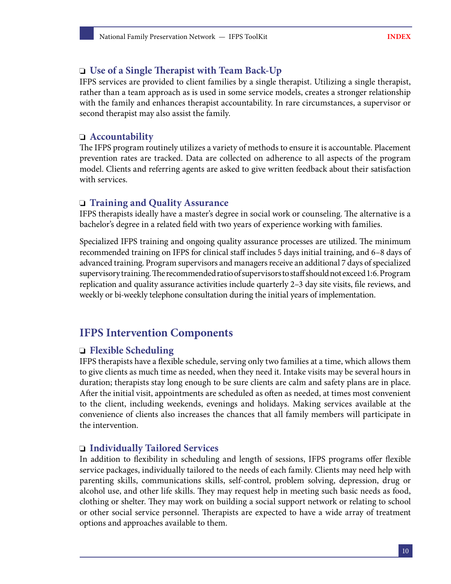### **Use of a Single Therapist with Team Back-Up**

IFPS services are provided to client families by a single therapist. Utilizing a single therapist, rather than a team approach as is used in some service models, creates a stronger relationship with the family and enhances therapist accountability. In rare circumstances, a supervisor or second therapist may also assist the family.

#### **Accountability**

The IFPS program routinely utilizes a variety of methods to ensure it is accountable. Placement prevention rates are tracked. Data are collected on adherence to all aspects of the program model. Clients and referring agents are asked to give written feedback about their satisfaction with services.

#### **Training and Quality Assurance**

IFPS therapists ideally have a master's degree in social work or counseling. The alternative is a bachelor's degree in a related field with two years of experience working with families.

Specialized IFPS training and ongoing quality assurance processes are utilized. The minimum recommended training on IFPS for clinical staff includes 5 days initial training, and 6–8 days of advanced training. Program supervisors and managers receive an additional 7 days of specialized supervisory training. The recommended ratio of supervisors to staff should not exceed 1:6. Program replication and quality assurance activities include quarterly 2–3 day site visits, file reviews, and weekly or bi-weekly telephone consultation during the initial years of implementation.

## **IFPS Intervention Components**

#### **Flexible Scheduling**

IFPS therapists have a flexible schedule, serving only two families at a time, which allows them to give clients as much time as needed, when they need it. Intake visits may be several hours in duration; therapists stay long enough to be sure clients are calm and safety plans are in place. After the initial visit, appointments are scheduled as often as needed, at times most convenient to the client, including weekends, evenings and holidays. Making services available at the convenience of clients also increases the chances that all family members will participate in the intervention.

#### **Individually Tailored Services**

In addition to flexibility in scheduling and length of sessions, IFPS programs offer flexible service packages, individually tailored to the needs of each family. Clients may need help with parenting skills, communications skills, self-control, problem solving, depression, drug or alcohol use, and other life skills. They may request help in meeting such basic needs as food, clothing or shelter. They may work on building a social support network or relating to school or other social service personnel. Therapists are expected to have a wide array of treatment options and approaches available to them.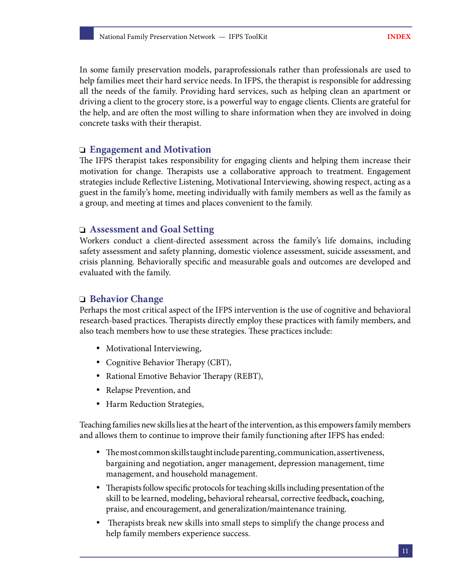In some family preservation models, paraprofessionals rather than professionals are used to help families meet their hard service needs. In IFPS, the therapist is responsible for addressing all the needs of the family. Providing hard services, such as helping clean an apartment or driving a client to the grocery store, is a powerful way to engage clients. Clients are grateful for the help, and are often the most willing to share information when they are involved in doing concrete tasks with their therapist.

#### **Engagement and Motivation**

The IFPS therapist takes responsibility for engaging clients and helping them increase their motivation for change. Therapists use a collaborative approach to treatment. Engagement strategies include Reflective Listening, Motivational Interviewing, showing respect, acting as a guest in the family's home, meeting individually with family members as well as the family as a group, and meeting at times and places convenient to the family.

#### **Assessment and Goal Setting**

Workers conduct a client-directed assessment across the family's life domains, including safety assessment and safety planning, domestic violence assessment, suicide assessment, and crisis planning. Behaviorally specific and measurable goals and outcomes are developed and evaluated with the family.

#### **Behavior Change**

Perhaps the most critical aspect of the IFPS intervention is the use of cognitive and behavioral research-based practices. Therapists directly employ these practices with family members, and also teach members how to use these strategies. These practices include:

- Motivational Interviewing,
- Cognitive Behavior Therapy (CBT),
- Rational Emotive Behavior Therapy (REBT),
- Relapse Prevention, and
- Harm Reduction Strategies,

Teaching families new skills lies at the heart of the intervention, as this empowers family members and allows them to continue to improve their family functioning after IFPS has ended:

- The most common skills taught include parenting, communication, assertiveness, bargaining and negotiation, anger management, depression management, time management, and household management.
- Therapists follow specific protocols for teaching skills including presentation of the skill to be learned, modeling**,** behavioral rehearsal, corrective feedback**, c**oaching, praise, and encouragement, and generalization/maintenance training.
- Therapists break new skills into small steps to simplify the change process and help family members experience success.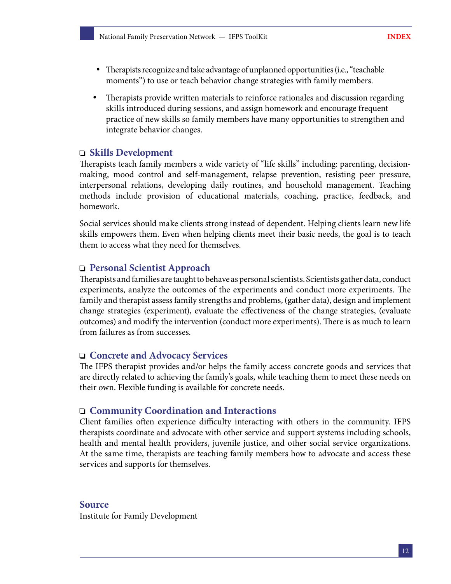- Therapists recognize and take advantage of unplanned opportunities (i.e., "teachable moments") to use or teach behavior change strategies with family members.
- Therapists provide written materials to reinforce rationales and discussion regarding skills introduced during sessions, and assign homework and encourage frequent practice of new skills so family members have many opportunities to strengthen and integrate behavior changes.

#### **Skills Development**

Therapists teach family members a wide variety of "life skills" including: parenting, decisionmaking, mood control and self-management, relapse prevention, resisting peer pressure, interpersonal relations, developing daily routines, and household management. Teaching methods include provision of educational materials, coaching, practice, feedback, and homework.

Social services should make clients strong instead of dependent. Helping clients learn new life skills empowers them. Even when helping clients meet their basic needs, the goal is to teach them to access what they need for themselves.

#### **Personal Scientist Approach**

Therapists and families are taught to behave as personal scientists. Scientists gather data, conduct experiments, analyze the outcomes of the experiments and conduct more experiments. The family and therapist assess family strengths and problems, (gather data), design and implement change strategies (experiment), evaluate the effectiveness of the change strategies, (evaluate outcomes) and modify the intervention (conduct more experiments). There is as much to learn from failures as from successes.

#### **Concrete and Advocacy Services**

The IFPS therapist provides and/or helps the family access concrete goods and services that are directly related to achieving the family's goals, while teaching them to meet these needs on their own. Flexible funding is available for concrete needs.

#### **Community Coordination and Interactions**

Client families often experience difficulty interacting with others in the community. IFPS therapists coordinate and advocate with other service and support systems including schools, health and mental health providers, juvenile justice, and other social service organizations. At the same time, therapists are teaching family members how to advocate and access these services and supports for themselves.

#### **Source**

Institute for Family Development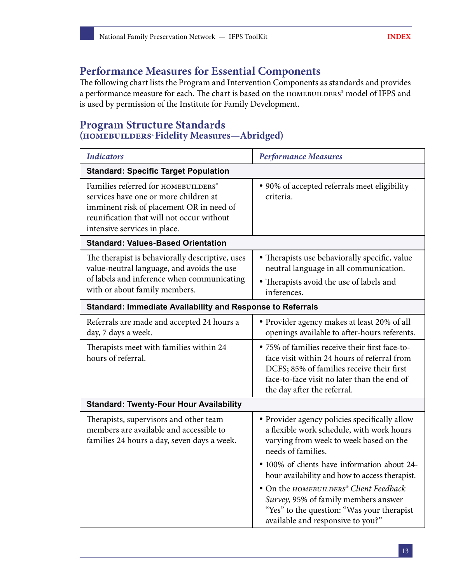## **Performance Measures for Essential Components**

The following chart lists the Program and Intervention Components as standards and provides a performance measure for each. The chart is based on the HOMEBUILDERS® model of IFPS and is used by permission of the Institute for Family Development.

### **Program Structure Standards (homebuilders®Fidelity Measures—Abridged)**

| <b>Indicators</b>                                                                                                                                                                                     | <b>Performance Measures</b>                                                                                                                                                                                              |  |
|-------------------------------------------------------------------------------------------------------------------------------------------------------------------------------------------------------|--------------------------------------------------------------------------------------------------------------------------------------------------------------------------------------------------------------------------|--|
| <b>Standard: Specific Target Population</b>                                                                                                                                                           |                                                                                                                                                                                                                          |  |
| Families referred for HOMEBUILDERS®<br>services have one or more children at<br>imminent risk of placement OR in need of<br>reunification that will not occur without<br>intensive services in place. | • 90% of accepted referrals meet eligibility<br>criteria.                                                                                                                                                                |  |
| <b>Standard: Values-Based Orientation</b>                                                                                                                                                             |                                                                                                                                                                                                                          |  |
| The therapist is behaviorally descriptive, uses<br>value-neutral language, and avoids the use<br>of labels and inference when communicating<br>with or about family members.                          | • Therapists use behaviorally specific, value<br>neutral language in all communication.<br>• Therapists avoid the use of labels and<br>inferences.                                                                       |  |
| Standard: Immediate Availability and Response to Referrals                                                                                                                                            |                                                                                                                                                                                                                          |  |
| Referrals are made and accepted 24 hours a<br>day, 7 days a week.                                                                                                                                     | • Provider agency makes at least 20% of all<br>openings available to after-hours referents.                                                                                                                              |  |
| Therapists meet with families within 24<br>hours of referral.                                                                                                                                         | • 75% of families receive their first face-to-<br>face visit within 24 hours of referral from<br>DCFS; 85% of families receive their first<br>face-to-face visit no later than the end of<br>the day after the referral. |  |
| <b>Standard: Twenty-Four Hour Availability</b>                                                                                                                                                        |                                                                                                                                                                                                                          |  |
| Therapists, supervisors and other team<br>members are available and accessible to<br>families 24 hours a day, seven days a week.                                                                      | • Provider agency policies specifically allow<br>a flexible work schedule, with work hours<br>varying from week to week based on the<br>needs of families.                                                               |  |
|                                                                                                                                                                                                       | • 100% of clients have information about 24-<br>hour availability and how to access therapist.                                                                                                                           |  |
|                                                                                                                                                                                                       | • On the HOMEBUILDERS® Client Feedback<br>Survey, 95% of family members answer<br>"Yes" to the question: "Was your therapist<br>available and responsive to you?"                                                        |  |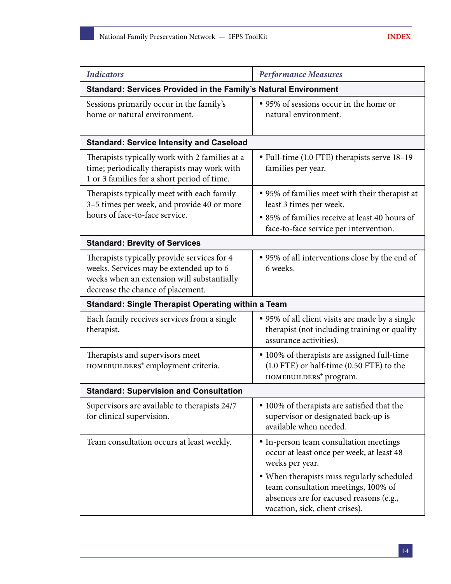| <b>Indicators</b>                                                                                                                                                         | <b>Performance Measures</b>                                                                                                                                                                                                                                               |  |
|---------------------------------------------------------------------------------------------------------------------------------------------------------------------------|---------------------------------------------------------------------------------------------------------------------------------------------------------------------------------------------------------------------------------------------------------------------------|--|
| Standard: Services Provided in the Family's Natural Environment                                                                                                           |                                                                                                                                                                                                                                                                           |  |
| Sessions primarily occur in the family's<br>home or natural environment.                                                                                                  | • 95% of sessions occur in the home or<br>natural environment.                                                                                                                                                                                                            |  |
| <b>Standard: Service Intensity and Caseload</b>                                                                                                                           |                                                                                                                                                                                                                                                                           |  |
| Therapists typically work with 2 families at a<br>time; periodically therapists may work with<br>1 or 3 families for a short period of time.                              | • Full-time (1.0 FTE) therapists serve 18-19<br>families per year.                                                                                                                                                                                                        |  |
| Therapists typically meet with each family<br>3-5 times per week, and provide 40 or more                                                                                  | • 95% of families meet with their therapist at<br>least 3 times per week.                                                                                                                                                                                                 |  |
| hours of face-to-face service.                                                                                                                                            | • 85% of families receive at least 40 hours of<br>face-to-face service per intervention.                                                                                                                                                                                  |  |
| <b>Standard: Brevity of Services</b>                                                                                                                                      |                                                                                                                                                                                                                                                                           |  |
| Therapists typically provide services for 4<br>weeks. Services may be extended up to 6<br>weeks when an extension will substantially<br>decrease the chance of placement. | • 95% of all interventions close by the end of<br>6 weeks.                                                                                                                                                                                                                |  |
| <b>Standard: Single Therapist Operating within a Team</b>                                                                                                                 |                                                                                                                                                                                                                                                                           |  |
| Each family receives services from a single<br>therapist.                                                                                                                 | • 95% of all client visits are made by a single<br>therapist (not including training or quality<br>assurance activities).                                                                                                                                                 |  |
| Therapists and supervisors meet<br>HOMEBUILDERS® employment criteria.                                                                                                     | • 100% of therapists are assigned full-time<br>(1.0 FTE) or half-time (0.50 FTE) to the<br>HOMEBUILDERS® program.                                                                                                                                                         |  |
| <b>Standard: Supervision and Consultation</b>                                                                                                                             |                                                                                                                                                                                                                                                                           |  |
| Supervisors are available to therapists 24/7<br>for clinical supervision.                                                                                                 | • 100% of therapists are satisfied that the<br>supervisor or designated back-up is<br>available when needed.                                                                                                                                                              |  |
| Team consultation occurs at least weekly.                                                                                                                                 | • In-person team consultation meetings<br>occur at least once per week, at least 48<br>weeks per year.<br>• When therapists miss regularly scheduled<br>team consultation meetings, 100% of<br>absences are for excused reasons (e.g.,<br>vacation, sick, client crises). |  |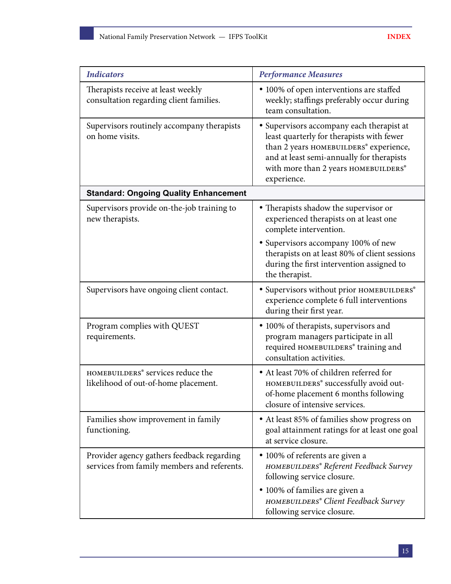| <b>Indicators</b>                                                                         | <b>Performance Measures</b>                                                                                                                                                                                                          |  |  |
|-------------------------------------------------------------------------------------------|--------------------------------------------------------------------------------------------------------------------------------------------------------------------------------------------------------------------------------------|--|--|
| Therapists receive at least weekly<br>consultation regarding client families.             | • 100% of open interventions are staffed<br>weekly; staffings preferably occur during<br>team consultation.                                                                                                                          |  |  |
| Supervisors routinely accompany therapists<br>on home visits.                             | • Supervisors accompany each therapist at<br>least quarterly for therapists with fewer<br>than 2 years HOMEBUILDERS® experience,<br>and at least semi-annually for therapists<br>with more than 2 years HOMEBUILDERS®<br>experience. |  |  |
| <b>Standard: Ongoing Quality Enhancement</b>                                              |                                                                                                                                                                                                                                      |  |  |
| Supervisors provide on-the-job training to<br>new therapists.                             | • Therapists shadow the supervisor or<br>experienced therapists on at least one<br>complete intervention.                                                                                                                            |  |  |
|                                                                                           | • Supervisors accompany 100% of new<br>therapists on at least 80% of client sessions<br>during the first intervention assigned to<br>the therapist.                                                                                  |  |  |
| Supervisors have ongoing client contact.                                                  | · Supervisors without prior HOMEBUILDERS®<br>experience complete 6 full interventions<br>during their first year.                                                                                                                    |  |  |
| Program complies with QUEST<br>requirements.                                              | • 100% of therapists, supervisors and<br>program managers participate in all<br>required HOMEBUILDERS® training and<br>consultation activities.                                                                                      |  |  |
| HOMEBUILDERS® services reduce the<br>likelihood of out-of-home placement.                 | • At least 70% of children referred for<br>HOMEBUILDERS® successfully avoid out-<br>of-home placement 6 months following<br>closure of intensive services.                                                                           |  |  |
| Families show improvement in family<br>functioning.                                       | • At least 85% of families show progress on<br>goal attainment ratings for at least one goal<br>at service closure.                                                                                                                  |  |  |
| Provider agency gathers feedback regarding<br>services from family members and referents. | • 100% of referents are given a<br>HOMEBUILDERS® Referent Feedback Survey<br>following service closure.                                                                                                                              |  |  |
|                                                                                           | · 100% of families are given a<br>HOMEBUILDERS® Client Feedback Survey<br>following service closure.                                                                                                                                 |  |  |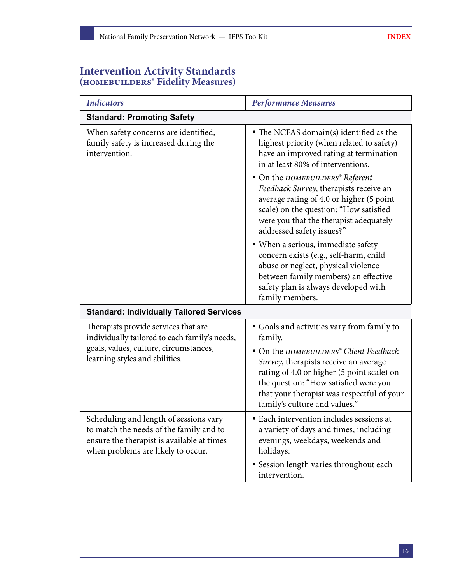### **Intervention Activity Standards (homebuilders® Fidelity Measures)**

| <b>Indicators</b>                                                                                                                                                     | <b>Performance Measures</b>                                                                                                                                                                                                                           |  |  |
|-----------------------------------------------------------------------------------------------------------------------------------------------------------------------|-------------------------------------------------------------------------------------------------------------------------------------------------------------------------------------------------------------------------------------------------------|--|--|
| <b>Standard: Promoting Safety</b>                                                                                                                                     |                                                                                                                                                                                                                                                       |  |  |
| When safety concerns are identified,<br>family safety is increased during the<br>intervention.                                                                        | • The NCFAS domain(s) identified as the<br>highest priority (when related to safety)<br>have an improved rating at termination<br>in at least 80% of interventions.                                                                                   |  |  |
|                                                                                                                                                                       | • On the HOMEBUILDERS® Referent<br>Feedback Survey, therapists receive an<br>average rating of 4.0 or higher (5 point<br>scale) on the question: "How satisfied<br>were you that the therapist adequately<br>addressed safety issues?"                |  |  |
|                                                                                                                                                                       | · When a serious, immediate safety<br>concern exists (e.g., self-harm, child<br>abuse or neglect, physical violence<br>between family members) an effective<br>safety plan is always developed with<br>family members.                                |  |  |
| <b>Standard: Individually Tailored Services</b>                                                                                                                       |                                                                                                                                                                                                                                                       |  |  |
| Therapists provide services that are<br>individually tailored to each family's needs,                                                                                 | · Goals and activities vary from family to<br>family.                                                                                                                                                                                                 |  |  |
| goals, values, culture, circumstances,<br>learning styles and abilities.                                                                                              | • On the HOMEBUILDERS® Client Feedback<br>Survey, therapists receive an average<br>rating of 4.0 or higher (5 point scale) on<br>the question: "How satisfied were you<br>that your therapist was respectful of your<br>family's culture and values." |  |  |
| Scheduling and length of sessions vary<br>to match the needs of the family and to<br>ensure the therapist is available at times<br>when problems are likely to occur. | • Each intervention includes sessions at<br>a variety of days and times, including<br>evenings, weekdays, weekends and<br>holidays.                                                                                                                   |  |  |
|                                                                                                                                                                       | · Session length varies throughout each<br>intervention.                                                                                                                                                                                              |  |  |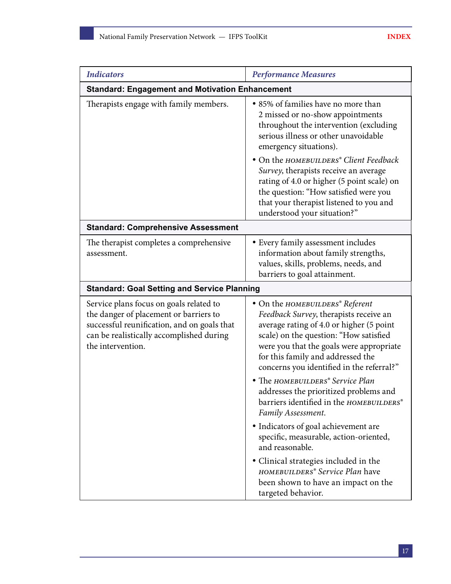| <b>Indicators</b>                                                                                                                                                                                 | <b>Performance Measures</b>                                                                                                                                                                                                                                                                                                                                                                                                             |  |  |  |
|---------------------------------------------------------------------------------------------------------------------------------------------------------------------------------------------------|-----------------------------------------------------------------------------------------------------------------------------------------------------------------------------------------------------------------------------------------------------------------------------------------------------------------------------------------------------------------------------------------------------------------------------------------|--|--|--|
| <b>Standard: Engagement and Motivation Enhancement</b>                                                                                                                                            |                                                                                                                                                                                                                                                                                                                                                                                                                                         |  |  |  |
| Therapists engage with family members.                                                                                                                                                            | • 85% of families have no more than<br>2 missed or no-show appointments<br>throughout the intervention (excluding<br>serious illness or other unavoidable<br>emergency situations).<br>• On the HOMEBUILDERS® Client Feedback<br>Survey, therapists receive an average<br>rating of 4.0 or higher (5 point scale) on<br>the question: "How satisfied were you<br>that your therapist listened to you and<br>understood your situation?" |  |  |  |
| <b>Standard: Comprehensive Assessment</b>                                                                                                                                                         |                                                                                                                                                                                                                                                                                                                                                                                                                                         |  |  |  |
| The therapist completes a comprehensive<br>assessment.                                                                                                                                            | • Every family assessment includes<br>information about family strengths,<br>values, skills, problems, needs, and<br>barriers to goal attainment.                                                                                                                                                                                                                                                                                       |  |  |  |
| <b>Standard: Goal Setting and Service Planning</b>                                                                                                                                                |                                                                                                                                                                                                                                                                                                                                                                                                                                         |  |  |  |
| Service plans focus on goals related to<br>the danger of placement or barriers to<br>successful reunification, and on goals that<br>can be realistically accomplished during<br>the intervention. | • On the HOMEBUILDERS® Referent<br>Feedback Survey, therapists receive an<br>average rating of 4.0 or higher (5 point<br>scale) on the question: "How satisfied<br>were you that the goals were appropriate<br>for this family and addressed the<br>concerns you identified in the referral?"                                                                                                                                           |  |  |  |
|                                                                                                                                                                                                   | • The HOMEBUILDERS® Service Plan<br>addresses the prioritized problems and<br>barriers identified in the HOMEBUILDERS®<br>Family Assessment.                                                                                                                                                                                                                                                                                            |  |  |  |
|                                                                                                                                                                                                   | • Indicators of goal achievement are<br>specific, measurable, action-oriented,<br>and reasonable.                                                                                                                                                                                                                                                                                                                                       |  |  |  |
|                                                                                                                                                                                                   | · Clinical strategies included in the<br>HOMEBUILDERS® Service Plan have<br>been shown to have an impact on the<br>targeted behavior.                                                                                                                                                                                                                                                                                                   |  |  |  |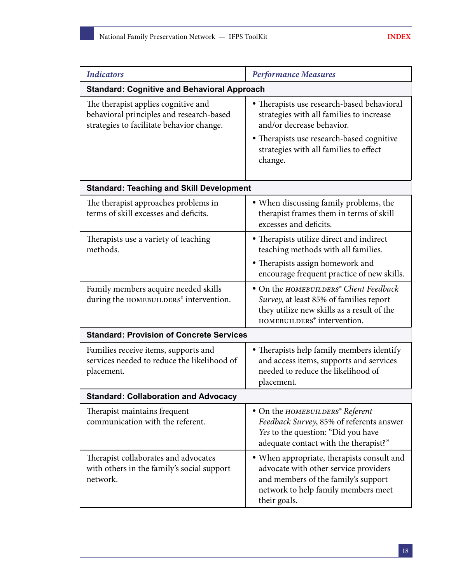| <b>Indicators</b>                                                                                                            | <b>Performance Measures</b>                                                                                                                                                                                           |  |  |
|------------------------------------------------------------------------------------------------------------------------------|-----------------------------------------------------------------------------------------------------------------------------------------------------------------------------------------------------------------------|--|--|
| <b>Standard: Cognitive and Behavioral Approach</b>                                                                           |                                                                                                                                                                                                                       |  |  |
| The therapist applies cognitive and<br>behavioral principles and research-based<br>strategies to facilitate behavior change. | • Therapists use research-based behavioral<br>strategies with all families to increase<br>and/or decrease behavior.<br>• Therapists use research-based cognitive<br>strategies with all families to effect<br>change. |  |  |
| <b>Standard: Teaching and Skill Development</b>                                                                              |                                                                                                                                                                                                                       |  |  |
| The therapist approaches problems in<br>terms of skill excesses and deficits.                                                | • When discussing family problems, the<br>therapist frames them in terms of skill<br>excesses and deficits.                                                                                                           |  |  |
| Therapists use a variety of teaching<br>methods.                                                                             | • Therapists utilize direct and indirect<br>teaching methods with all families.                                                                                                                                       |  |  |
|                                                                                                                              | • Therapists assign homework and<br>encourage frequent practice of new skills.                                                                                                                                        |  |  |
| Family members acquire needed skills<br>during the HOMEBUILDERS® intervention.                                               | · On the HOMEBUILDERS® Client Feedback<br>Survey, at least 85% of families report<br>they utilize new skills as a result of the<br>HOMEBUILDERS® intervention.                                                        |  |  |
| <b>Standard: Provision of Concrete Services</b>                                                                              |                                                                                                                                                                                                                       |  |  |
| Families receive items, supports and<br>services needed to reduce the likelihood of<br>placement.                            | • Therapists help family members identify<br>and access items, supports and services<br>needed to reduce the likelihood of<br>placement.                                                                              |  |  |
| <b>Standard: Collaboration and Advocacy</b>                                                                                  |                                                                                                                                                                                                                       |  |  |
| Therapist maintains frequent<br>communication with the referent.                                                             | • On the HOMEBUILDERS® Referent<br>Feedback Survey, 85% of referents answer<br>Yes to the question: "Did you have<br>adequate contact with the therapist?"                                                            |  |  |
| Therapist collaborates and advocates<br>with others in the family's social support<br>network.                               | • When appropriate, therapists consult and<br>advocate with other service providers<br>and members of the family's support<br>network to help family members meet<br>their goals.                                     |  |  |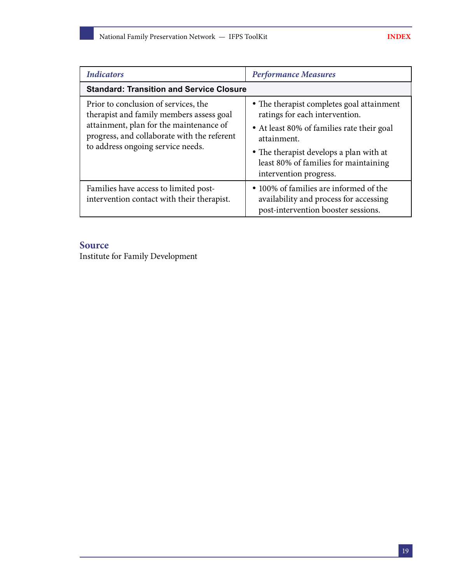| <b>Indicators</b>                                                                                                                                                                                               | <b>Performance Measures</b>                                                                                                                                                                                                                            |  |
|-----------------------------------------------------------------------------------------------------------------------------------------------------------------------------------------------------------------|--------------------------------------------------------------------------------------------------------------------------------------------------------------------------------------------------------------------------------------------------------|--|
| <b>Standard: Transition and Service Closure</b>                                                                                                                                                                 |                                                                                                                                                                                                                                                        |  |
| Prior to conclusion of services, the<br>therapist and family members assess goal<br>attainment, plan for the maintenance of<br>progress, and collaborate with the referent<br>to address ongoing service needs. | • The therapist completes goal attainment<br>ratings for each intervention.<br>• At least 80% of families rate their goal<br>attainment.<br>• The therapist develops a plan with at<br>least 80% of families for maintaining<br>intervention progress. |  |
| Families have access to limited post-<br>intervention contact with their therapist.                                                                                                                             | • 100% of families are informed of the<br>availability and process for accessing<br>post-intervention booster sessions.                                                                                                                                |  |

### **Source**

Institute for Family Development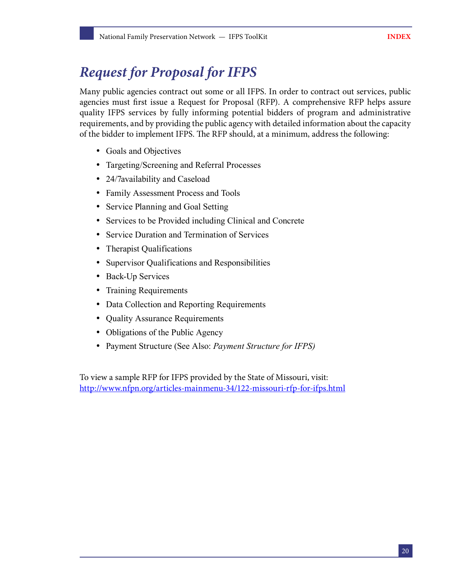## <span id="page-21-0"></span>*Request for Proposal for IFPS*

Many public agencies contract out some or all IFPS. In order to contract out services, public agencies must first issue a Request for Proposal (RFP). A comprehensive RFP helps assure quality IFPS services by fully informing potential bidders of program and administrative requirements, and by providing the public agency with detailed information about the capacity of the bidder to implement IFPS. The RFP should, at a minimum, address the following:

- Goals and Objectives
- Targeting/Screening and Referral Processes
- 24/7availability and Caseload
- Family Assessment Process and Tools
- Service Planning and Goal Setting
- Services to be Provided including Clinical and Concrete
- Service Duration and Termination of Services
- Therapist Qualifications
- Supervisor Qualifications and Responsibilities
- Back-Up Services
- Training Requirements
- Data Collection and Reporting Requirements
- Quality Assurance Requirements
- Obligations of the Public Agency
- Payment Structure (See Also: *Payment Structure for IFPS)*

To view a sample RFP for IFPS provided by the State of Missouri, visit: <http://www.nfpn.org/articles-mainmenu-34/122-missouri-rfp-for-ifps.html>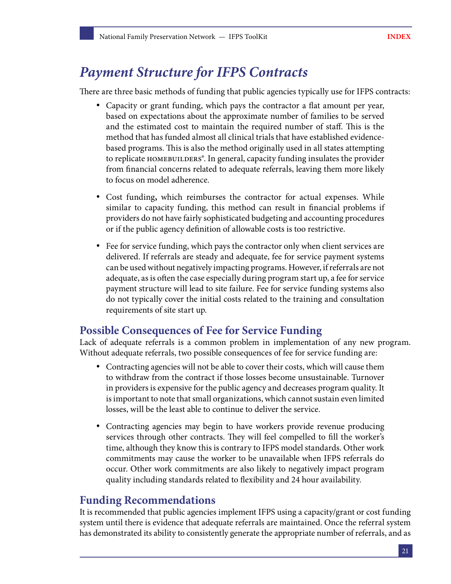## <span id="page-22-0"></span>*Payment Structure for IFPS Contracts*

There are three basic methods of funding that public agencies typically use for IFPS contracts:

- Capacity or grant funding, which pays the contractor a flat amount per year, based on expectations about the approximate number of families to be served and the estimated cost to maintain the required number of staff. This is the method that has funded almost all clinical trials that have established evidencebased programs. This is also the method originally used in all states attempting to replicate homebuilders®. In general, capacity funding insulates the provider from financial concerns related to adequate referrals, leaving them more likely to focus on model adherence.
- Cost funding**,** which reimburses the contractor for actual expenses. While similar to capacity funding, this method can result in financial problems if providers do not have fairly sophisticated budgeting and accounting procedures or if the public agency definition of allowable costs is too restrictive.
- Fee for service funding, which pays the contractor only when client services are delivered. If referrals are steady and adequate, fee for service payment systems can be used without negatively impacting programs. However, if referrals are not adequate, as is often the case especially during program start up, a fee for service payment structure will lead to site failure. Fee for service funding systems also do not typically cover the initial costs related to the training and consultation requirements of site start up.

### **Possible Consequences of Fee for Service Funding**

Lack of adequate referrals is a common problem in implementation of any new program. Without adequate referrals, two possible consequences of fee for service funding are:

- Contracting agencies will not be able to cover their costs, which will cause them to withdraw from the contract if those losses become unsustainable. Turnover in providers is expensive for the public agency and decreases program quality. It is important to note that small organizations, which cannot sustain even limited losses, will be the least able to continue to deliver the service.
- Contracting agencies may begin to have workers provide revenue producing services through other contracts. They will feel compelled to fill the worker's time, although they know this is contrary to IFPS model standards. Other work commitments may cause the worker to be unavailable when IFPS referrals do occur. Other work commitments are also likely to negatively impact program quality including standards related to flexibility and 24 hour availability.

### **Funding Recommendations**

It is recommended that public agencies implement IFPS using a capacity/grant or cost funding system until there is evidence that adequate referrals are maintained. Once the referral system has demonstrated its ability to consistently generate the appropriate number of referrals, and as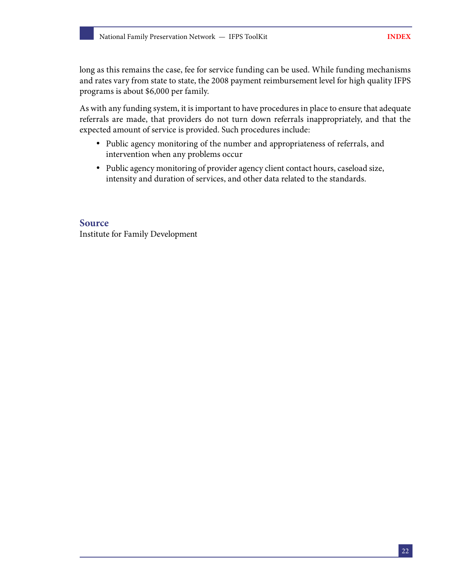long as this remains the case, fee for service funding can be used. While funding mechanisms and rates vary from state to state, the 2008 payment reimbursement level for high quality IFPS programs is about \$6,000 per family.

As with any funding system, it is important to have procedures in place to ensure that adequate referrals are made, that providers do not turn down referrals inappropriately, and that the expected amount of service is provided. Such procedures include:

- Public agency monitoring of the number and appropriateness of referrals, and intervention when any problems occur
- Public agency monitoring of provider agency client contact hours, caseload size, intensity and duration of services, and other data related to the standards.

**Source** Institute for Family Development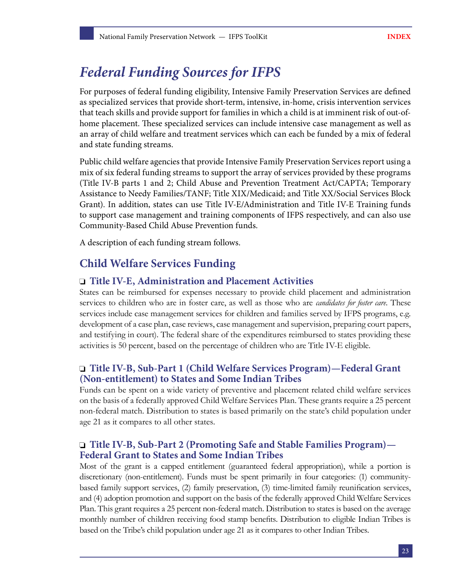## <span id="page-24-0"></span>*Federal Funding Sources for IFPS*

For purposes of federal funding eligibility, Intensive Family Preservation Services are defined as specialized services that provide short-term, intensive, in-home, crisis intervention services that teach skills and provide support for families in which a child is at imminent risk of out-ofhome placement. These specialized services can include intensive case management as well as an array of child welfare and treatment services which can each be funded by a mix of federal and state funding streams.

Public child welfare agencies that provide Intensive Family Preservation Services report using a mix of six federal funding streams to support the array of services provided by these programs (Title IV-B parts 1 and 2; Child Abuse and Prevention Treatment Act/CAPTA; Temporary Assistance to Needy Families/TANF; Title XIX/Medicaid; and Title XX/Social Services Block Grant). In addition, states can use Title IV-E/Administration and Title IV-E Training funds to support case management and training components of IFPS respectively, and can also use Community-Based Child Abuse Prevention funds.

A description of each funding stream follows.

### **Child Welfare Services Funding**

#### **Title IV-E, Administration and Placement Activities**

States can be reimbursed for expenses necessary to provide child placement and administration services to children who are in foster care, as well as those who are *candidates for foster care.* These services include case management services for children and families served by IFPS programs, e.g. development of a case plan, case reviews, case management and supervision, preparing court papers, and testifying in court). The federal share of the expenditures reimbursed to states providing these activities is 50 percent, based on the percentage of children who are Title IV-E eligible.

#### **Title IV-B, Sub-Part 1 (Child Welfare Services Program)—Federal Grant (Non-entitlement) to States and Some Indian Tribes**

Funds can be spent on a wide variety of preventive and placement related child welfare services on the basis of a federally approved Child Welfare Services Plan. These grants require a 25 percent non-federal match. Distribution to states is based primarily on the state's child population under age 21 as it compares to all other states.

#### **Title IV-B, Sub-Part 2 (Promoting Safe and Stable Families Program)— Federal Grant to States and Some Indian Tribes**

Most of the grant is a capped entitlement (guaranteed federal appropriation), while a portion is discretionary (non-entitlement). Funds must be spent primarily in four categories: (1) communitybased family support services, (2) family preservation, (3) time-limited family reunification services, and (4) adoption promotion and support on the basis of the federally approved Child Welfare Services Plan. This grant requires a 25 percent non-federal match. Distribution to states is based on the average monthly number of children receiving food stamp benefits. Distribution to eligible Indian Tribes is based on the Tribe's child population under age 21 as it compares to other Indian Tribes.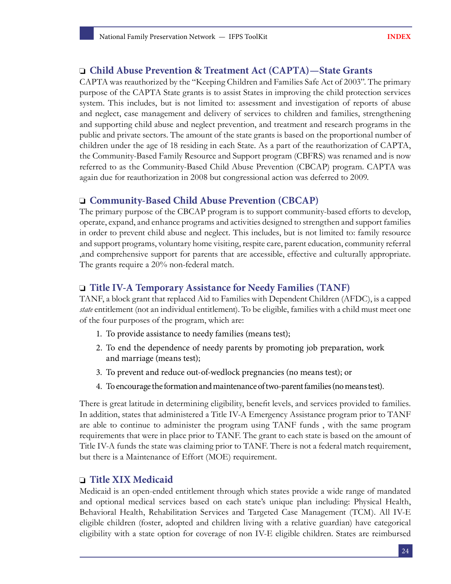#### **Child Abuse Prevention & Treatment Act (CAPTA)—State Grants**

CAPTA was reauthorized by the "Keeping Children and Families Safe Act of 2003". The primary purpose of the CAPTA State grants is to assist States in improving the child protection services system. This includes, but is not limited to: assessment and investigation of reports of abuse and neglect, case management and delivery of services to children and families, strengthening and supporting child abuse and neglect prevention, and treatment and research programs in the public and private sectors. The amount of the state grants is based on the proportional number of children under the age of 18 residing in each State. As a part of the reauthorization of CAPTA, the Community-Based Family Resource and Support program (CBFRS) was renamed and is now referred to as the Community-Based Child Abuse Prevention (CBCAP) program. CAPTA was again due for reauthorization in 2008 but congressional action was deferred to 2009.

#### **Community-Based Child Abuse Prevention (CBCAP)**

The primary purpose of the CBCAP program is to support community-based efforts to develop, operate, expand, and enhance programs and activities designed to strengthen and support families in order to prevent child abuse and neglect. This includes, but is not limited to: family resource and support programs, voluntary home visiting, respite care, parent education, community referral ,and comprehensive support for parents that are accessible, effective and culturally appropriate. The grants require a 20% non-federal match.

#### **Title IV-A Temporary Assistance for Needy Families (TANF)**

TANF, a block grant that replaced Aid to Families with Dependent Children (AFDC), is a capped *state* entitlement (not an individual entitlement). To be eligible, families with a child must meet one of the four purposes of the program, which are:

- 1. To provide assistance to needy families (means test);
- 2. To end the dependence of needy parents by promoting job preparation, work and marriage (means test);
- 3. To prevent and reduce out-of-wedlock pregnancies (no means test); or
- 4. To encourage the formation and maintenance of two-parent families (no means test).

There is great latitude in determining eligibility, benefit levels, and services provided to families. In addition, states that administered a Title IV-A Emergency Assistance program prior to TANF are able to continue to administer the program using TANF funds , with the same program requirements that were in place prior to TANF. The grant to each state is based on the amount of Title IV-A funds the state was claiming prior to TANF. There is not a federal match requirement, but there is a Maintenance of Effort (MOE) requirement.

#### **Title XIX Medicaid**

Medicaid is an open-ended entitlement through which states provide a wide range of mandated and optional medical services based on each state's unique plan including: Physical Health, Behavioral Health, Rehabilitation Services and Targeted Case Management (TCM). All IV-E eligible children (foster, adopted and children living with a relative guardian) have categorical eligibility with a state option for coverage of non IV-E eligible children. States are reimbursed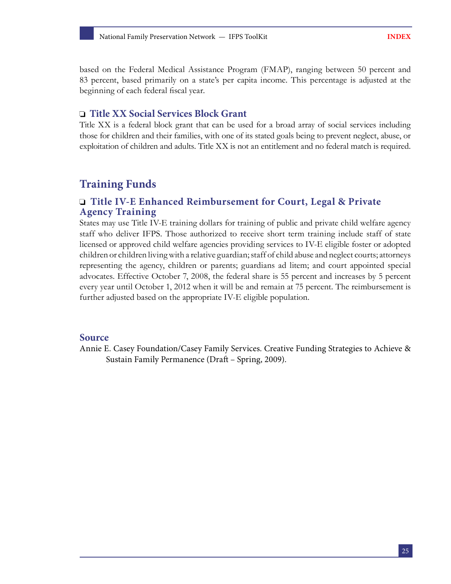based on the Federal Medical Assistance Program (FMAP), ranging between 50 percent and 83 percent, based primarily on a state's per capita income. This percentage is adjusted at the beginning of each federal fiscal year.

#### **Title XX Social Services Block Grant**

Title XX is a federal block grant that can be used for a broad array of social services including those for children and their families, with one of its stated goals being to prevent neglect, abuse, or exploitation of children and adults. Title XX is not an entitlement and no federal match is required.

### **Training Funds**

#### **Title IV-E Enhanced Reimbursement for Court, Legal & Private Agency Training**

States may use Title IV-E training dollars for training of public and private child welfare agency staff who deliver IFPS. Those authorized to receive short term training include staff of state licensed or approved child welfare agencies providing services to IV-E eligible foster or adopted children or children living with a relative guardian; staff of child abuse and neglect courts; attorneys representing the agency, children or parents; guardians ad litem; and court appointed special advocates. Effective October 7, 2008, the federal share is 55 percent and increases by 5 percent every year until October 1, 2012 when it will be and remain at 75 percent. The reimbursement is further adjusted based on the appropriate IV-E eligible population.

#### **Source**

Annie E. Casey Foundation/Casey Family Services. Creative Funding Strategies to Achieve & Sustain Family Permanence (Draft – Spring, 2009).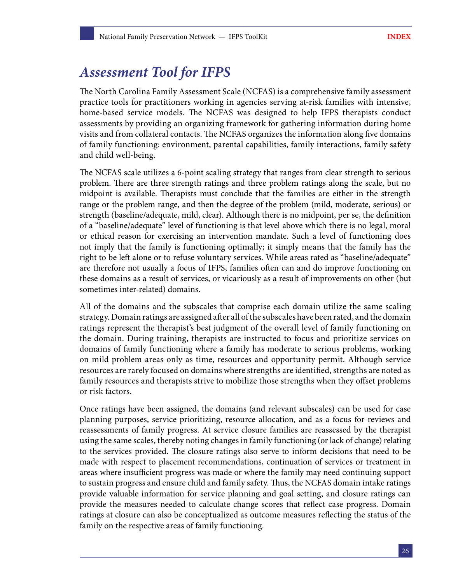## <span id="page-27-0"></span>*Assessment Tool for IFPS*

The North Carolina Family Assessment Scale (NCFAS) is a comprehensive family assessment practice tools for practitioners working in agencies serving at-risk families with intensive, home-based service models. The NCFAS was designed to help IFPS therapists conduct assessments by providing an organizing framework for gathering information during home visits and from collateral contacts. The NCFAS organizes the information along five domains of family functioning: environment, parental capabilities, family interactions, family safety and child well-being.

The NCFAS scale utilizes a 6-point scaling strategy that ranges from clear strength to serious problem. There are three strength ratings and three problem ratings along the scale, but no midpoint is available. Therapists must conclude that the families are either in the strength range or the problem range, and then the degree of the problem (mild, moderate, serious) or strength (baseline/adequate, mild, clear). Although there is no midpoint, per se, the definition of a "baseline/adequate" level of functioning is that level above which there is no legal, moral or ethical reason for exercising an intervention mandate. Such a level of functioning does not imply that the family is functioning optimally; it simply means that the family has the right to be left alone or to refuse voluntary services. While areas rated as "baseline/adequate" are therefore not usually a focus of IFPS, families often can and do improve functioning on these domains as a result of services, or vicariously as a result of improvements on other (but sometimes inter-related) domains.

All of the domains and the subscales that comprise each domain utilize the same scaling strategy. Domain ratings are assigned after all of the subscales have been rated, and the domain ratings represent the therapist's best judgment of the overall level of family functioning on the domain. During training, therapists are instructed to focus and prioritize services on domains of family functioning where a family has moderate to serious problems, working on mild problem areas only as time, resources and opportunity permit. Although service resources are rarely focused on domains where strengths are identified, strengths are noted as family resources and therapists strive to mobilize those strengths when they offset problems or risk factors.

Once ratings have been assigned, the domains (and relevant subscales) can be used for case planning purposes, service prioritizing, resource allocation, and as a focus for reviews and reassessments of family progress. At service closure families are reassessed by the therapist using the same scales, thereby noting changes in family functioning (or lack of change) relating to the services provided. The closure ratings also serve to inform decisions that need to be made with respect to placement recommendations, continuation of services or treatment in areas where insufficient progress was made or where the family may need continuing support to sustain progress and ensure child and family safety. Thus, the NCFAS domain intake ratings provide valuable information for service planning and goal setting, and closure ratings can provide the measures needed to calculate change scores that reflect case progress. Domain ratings at closure can also be conceptualized as outcome measures reflecting the status of the family on the respective areas of family functioning.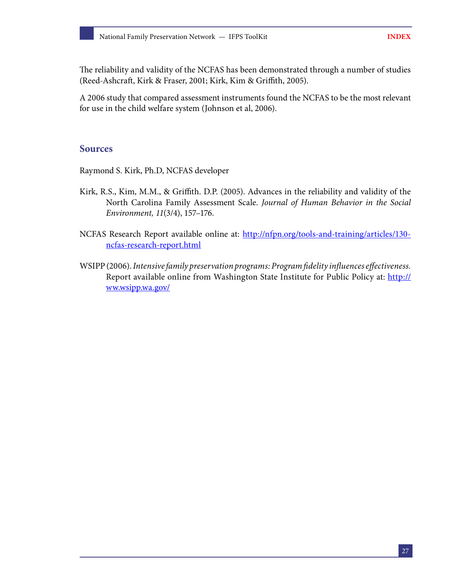The reliability and validity of the NCFAS has been demonstrated through a number of studies (Reed-Ashcraft, Kirk & Fraser, 2001; Kirk, Kim & Griffith, 2005).

A 2006 study that compared assessment instruments found the NCFAS to be the most relevant for use in the child welfare system (Johnson et al, 2006).

#### **Sources**

Raymond S. Kirk, Ph.D, NCFAS developer

- Kirk, R.S., Kim, M.M., & Griffith. D.P. (2005). Advances in the reliability and validity of the North Carolina Family Assessment Scale. *Journal of Human Behavior in the Social Environment, 11*(3/4), 157–176.
- NCFAS Research Report available online at: [http://nfpn.org/tools-and-training/articles/130](http://nfpn.org/tools-and-training/articles/130-ncfas-research-report.html) [ncfas-research-report.html](http://nfpn.org/tools-and-training/articles/130-ncfas-research-report.html)
- WSIPP (2006). *Intensive family preservation programs: Program fidelity influences effectiveness.* Report available online from Washington State Institute for Public Policy at: [http://](http://ww.wsipp.wa.gov/ ) [ww.wsipp.wa.gov/](http://ww.wsipp.wa.gov/ )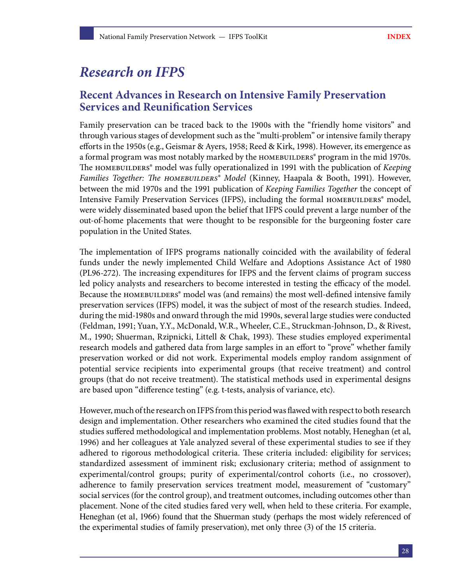## <span id="page-29-0"></span>*Research on IFPS*

### **Recent Advances in Research on Intensive Family Preservation Services and Reunification Services**

Family preservation can be traced back to the 1900s with the "friendly home visitors" and through various stages of development such as the "multi-problem" or intensive family therapy efforts in the 1950s (e.g., Geismar & Ayers, 1958; Reed & Kirk, 1998). However, its emergence as a formal program was most notably marked by the HOMEBUILDERS® program in the mid 1970s. The homebuilders® model was fully operationalized in 1991 with the publication of *Keeping Families Together: The homebuilders® Model* (Kinney, Haapala & Booth, 1991). However, between the mid 1970s and the 1991 publication of *Keeping Families Together* the concept of Intensive Family Preservation Services (IFPS), including the formal HOMEBUILDERS® model, were widely disseminated based upon the belief that IFPS could prevent a large number of the out-of-home placements that were thought to be responsible for the burgeoning foster care population in the United States.

The implementation of IFPS programs nationally coincided with the availability of federal funds under the newly implemented Child Welfare and Adoptions Assistance Act of 1980 (PL96-272). The increasing expenditures for IFPS and the fervent claims of program success led policy analysts and researchers to become interested in testing the efficacy of the model. Because the HOMEBUILDERS<sup>®</sup> model was (and remains) the most well-defined intensive family preservation services (IFPS) model, it was the subject of most of the research studies. Indeed, during the mid-1980s and onward through the mid 1990s, several large studies were conducted (Feldman, 1991; Yuan, Y.Y., McDonald, W.R., Wheeler, C.E., Struckman-Johnson, D., & Rivest, M., 1990; Shuerman, Rzipnicki, Littell & Chak, 1993). These studies employed experimental research models and gathered data from large samples in an effort to "prove" whether family preservation worked or did not work. Experimental models employ random assignment of potential service recipients into experimental groups (that receive treatment) and control groups (that do not receive treatment). The statistical methods used in experimental designs are based upon "difference testing" (e.g. t-tests, analysis of variance, etc).

However, much of the research on IFPS from this period was flawed with respect to both research design and implementation. Other researchers who examined the cited studies found that the studies suffered methodological and implementation problems. Most notably, Heneghan (et al, 1996) and her colleagues at Yale analyzed several of these experimental studies to see if they adhered to rigorous methodological criteria. These criteria included: eligibility for services; standardized assessment of imminent risk; exclusionary criteria; method of assignment to experimental/control groups; purity of experimental/control cohorts (i.e., no crossover), adherence to family preservation services treatment model, measurement of "customary" social services (for the control group), and treatment outcomes, including outcomes other than placement. None of the cited studies fared very well, when held to these criteria. For example, Heneghan (et al, 1966) found that the Shuerman study (perhaps the most widely referenced of the experimental studies of family preservation), met only three (3) of the 15 criteria.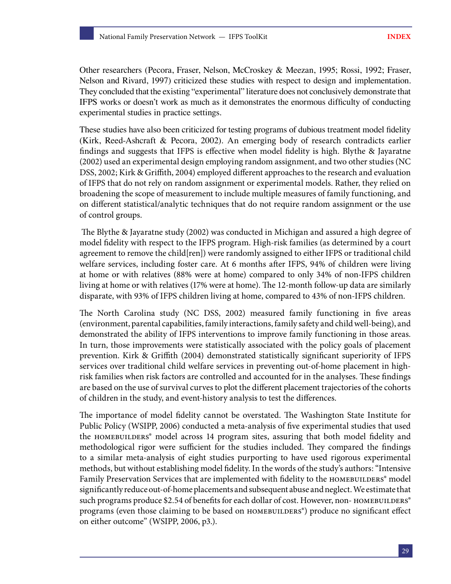Other researchers (Pecora, Fraser, Nelson, McCroskey & Meezan, 1995; Rossi, 1992; Fraser, Nelson and Rivard, 1997) criticized these studies with respect to design and implementation. They concluded that the existing "experimental" literature does not conclusively demonstrate that IFPS works or doesn't work as much as it demonstrates the enormous difficulty of conducting experimental studies in practice settings.

These studies have also been criticized for testing programs of dubious treatment model fidelity (Kirk, Reed-Ashcraft & Pecora, 2002). An emerging body of research contradicts earlier findings and suggests that IFPS is effective when model fidelity is high. Blythe & Jayaratne (2002) used an experimental design employing random assignment, and two other studies (NC DSS, 2002; Kirk & Griffith, 2004) employed different approaches to the research and evaluation of IFPS that do not rely on random assignment or experimental models. Rather, they relied on broadening the scope of measurement to include multiple measures of family functioning, and on different statistical/analytic techniques that do not require random assignment or the use of control groups.

 The Blythe & Jayaratne study (2002) was conducted in Michigan and assured a high degree of model fidelity with respect to the IFPS program. High-risk families (as determined by a court agreement to remove the child[ren]) were randomly assigned to either IFPS or traditional child welfare services, including foster care. At 6 months after IFPS, 94% of children were living at home or with relatives (88% were at home) compared to only 34% of non-IFPS children living at home or with relatives (17% were at home). The 12-month follow-up data are similarly disparate, with 93% of IFPS children living at home, compared to 43% of non-IFPS children.

The North Carolina study (NC DSS, 2002) measured family functioning in five areas (environment, parental capabilities, family interactions, family safety and child well-being), and demonstrated the ability of IFPS interventions to improve family functioning in those areas. In turn, those improvements were statistically associated with the policy goals of placement prevention. Kirk & Griffith (2004) demonstrated statistically significant superiority of IFPS services over traditional child welfare services in preventing out-of-home placement in highrisk families when risk factors are controlled and accounted for in the analyses. These findings are based on the use of survival curves to plot the different placement trajectories of the cohorts of children in the study, and event-history analysis to test the differences.

The importance of model fidelity cannot be overstated. The Washington State Institute for Public Policy (WSIPP, 2006) conducted a meta-analysis of five experimental studies that used the homebuilders® model across 14 program sites, assuring that both model fidelity and methodological rigor were sufficient for the studies included. They compared the findings to a similar meta-analysis of eight studies purporting to have used rigorous experimental methods, but without establishing model fidelity. In the words of the study's authors: "Intensive Family Preservation Services that are implemented with fidelity to the HOMEBUILDERS<sup>®</sup> model significantly reduce out-of-home placements and subsequent abuse and neglect. We estimate that such programs produce \$2.54 of benefits for each dollar of cost. However, non- HOMEBUILDERS® programs (even those claiming to be based on HOMEBUILDERS®) produce no significant effect on either outcome" (WSIPP, 2006, p3.).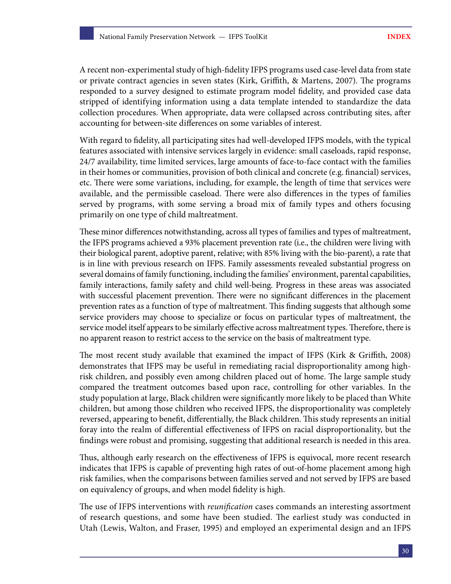A recent non-experimental study of high-fidelity IFPS programs used case-level data from state or private contract agencies in seven states (Kirk, Griffith, & Martens, 2007). The programs responded to a survey designed to estimate program model fidelity, and provided case data stripped of identifying information using a data template intended to standardize the data collection procedures. When appropriate, data were collapsed across contributing sites, after accounting for between-site differences on some variables of interest.

With regard to fidelity, all participating sites had well-developed IFPS models, with the typical features associated with intensive services largely in evidence: small caseloads, rapid response, 24/7 availability, time limited services, large amounts of face-to-face contact with the families in their homes or communities, provision of both clinical and concrete (e.g. financial) services, etc. There were some variations, including, for example, the length of time that services were available, and the permissible caseload. There were also differences in the types of families served by programs, with some serving a broad mix of family types and others focusing primarily on one type of child maltreatment.

These minor differences notwithstanding, across all types of families and types of maltreatment, the IFPS programs achieved a 93% placement prevention rate (i.e., the children were living with their biological parent, adoptive parent, relative; with 85% living with the bio-parent), a rate that is in line with previous research on IFPS. Family assessments revealed substantial progress on several domains of family functioning, including the families' environment, parental capabilities, family interactions, family safety and child well-being. Progress in these areas was associated with successful placement prevention. There were no significant differences in the placement prevention rates as a function of type of maltreatment. This finding suggests that although some service providers may choose to specialize or focus on particular types of maltreatment, the service model itself appears to be similarly effective across maltreatment types. Therefore, there is no apparent reason to restrict access to the service on the basis of maltreatment type.

The most recent study available that examined the impact of IFPS (Kirk & Griffith, 2008) demonstrates that IFPS may be useful in remediating racial disproportionality among highrisk children, and possibly even among children placed out of home. The large sample study compared the treatment outcomes based upon race, controlling for other variables. In the study population at large, Black children were significantly more likely to be placed than White children, but among those children who received IFPS, the disproportionality was completely reversed, appearing to benefit, differentially, the Black children. This study represents an initial foray into the realm of differential effectiveness of IFPS on racial disproportionality, but the findings were robust and promising, suggesting that additional research is needed in this area.

Thus, although early research on the effectiveness of IFPS is equivocal, more recent research indicates that IFPS is capable of preventing high rates of out-of-home placement among high risk families, when the comparisons between families served and not served by IFPS are based on equivalency of groups, and when model fidelity is high.

The use of IFPS interventions with *reunification* cases commands an interesting assortment of research questions, and some have been studied. The earliest study was conducted in Utah (Lewis, Walton, and Fraser, 1995) and employed an experimental design and an IFPS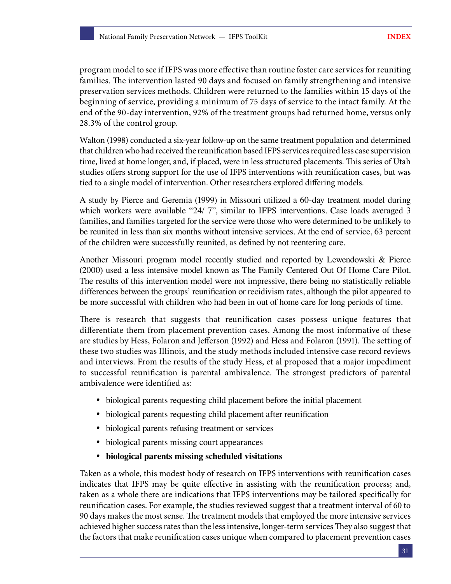program model to see if IFPS was more effective than routine foster care services for reuniting families. The intervention lasted 90 days and focused on family strengthening and intensive preservation services methods. Children were returned to the families within 15 days of the beginning of service, providing a minimum of 75 days of service to the intact family. At the end of the 90-day intervention, 92% of the treatment groups had returned home, versus only 28.3% of the control group.

Walton (1998) conducted a six-year follow-up on the same treatment population and determined that children who had received the reunification based IFPS services required less case supervision time, lived at home longer, and, if placed, were in less structured placements. This series of Utah studies offers strong support for the use of IFPS interventions with reunification cases, but was tied to a single model of intervention. Other researchers explored differing models.

A study by Pierce and Geremia (1999) in Missouri utilized a 60-day treatment model during which workers were available "24/ 7", similar to IFPS interventions. Case loads averaged 3 families, and families targeted for the service were those who were determined to be unlikely to be reunited in less than six months without intensive services. At the end of service, 63 percent of the children were successfully reunited, as defined by not reentering care.

Another Missouri program model recently studied and reported by Lewendowski & Pierce (2000) used a less intensive model known as The Family Centered Out Of Home Care Pilot. The results of this intervention model were not impressive, there being no statistically reliable differences between the groups' reunification or recidivism rates, although the pilot appeared to be more successful with children who had been in out of home care for long periods of time.

There is research that suggests that reunification cases possess unique features that differentiate them from placement prevention cases. Among the most informative of these are studies by Hess, Folaron and Jefferson (1992) and Hess and Folaron (1991). The setting of these two studies was Illinois, and the study methods included intensive case record reviews and interviews. From the results of the study Hess, et al proposed that a major impediment to successful reunification is parental ambivalence. The strongest predictors of parental ambivalence were identified as:

- biological parents requesting child placement before the initial placement
- biological parents requesting child placement after reunification
- biological parents refusing treatment or services
- biological parents missing court appearances
- **biological parents missing scheduled visitations**

Taken as a whole, this modest body of research on IFPS interventions with reunification cases indicates that IFPS may be quite effective in assisting with the reunification process; and, taken as a whole there are indications that IFPS interventions may be tailored specifically for reunification cases. For example, the studies reviewed suggest that a treatment interval of 60 to 90 days makes the most sense. The treatment models that employed the more intensive services achieved higher success rates than the less intensive, longer-term services They also suggest that the factors that make reunification cases unique when compared to placement prevention cases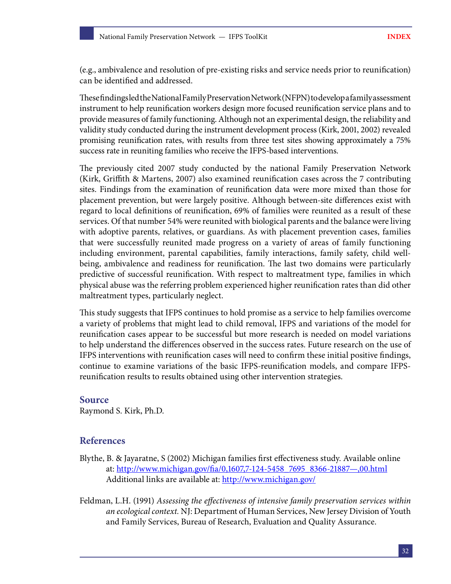(e.g., ambivalence and resolution of pre-existing risks and service needs prior to reunification) can be identified and addressed.

These findings led the National Family Preservation Network (NFPN) to develop a family assessment instrument to help reunification workers design more focused reunification service plans and to provide measures of family functioning. Although not an experimental design, the reliability and validity study conducted during the instrument development process (Kirk, 2001, 2002) revealed promising reunification rates, with results from three test sites showing approximately a 75% success rate in reuniting families who receive the IFPS-based interventions.

The previously cited 2007 study conducted by the national Family Preservation Network (Kirk, Griffith & Martens, 2007) also examined reunification cases across the 7 contributing sites. Findings from the examination of reunification data were more mixed than those for placement prevention, but were largely positive. Although between-site differences exist with regard to local definitions of reunification, 69% of families were reunited as a result of these services. Of that number 54% were reunited with biological parents and the balance were living with adoptive parents, relatives, or guardians. As with placement prevention cases, families that were successfully reunited made progress on a variety of areas of family functioning including environment, parental capabilities, family interactions, family safety, child wellbeing, ambivalence and readiness for reunification. The last two domains were particularly predictive of successful reunification. With respect to maltreatment type, families in which physical abuse was the referring problem experienced higher reunification rates than did other maltreatment types, particularly neglect.

This study suggests that IFPS continues to hold promise as a service to help families overcome a variety of problems that might lead to child removal, IFPS and variations of the model for reunification cases appear to be successful but more research is needed on model variations to help understand the differences observed in the success rates. Future research on the use of IFPS interventions with reunification cases will need to confirm these initial positive findings, continue to examine variations of the basic IFPS-reunification models, and compare IFPSreunification results to results obtained using other intervention strategies.

#### **Source**

Raymond S. Kirk, Ph.D.

#### **References**

- Blythe, B. & Jayaratne, S (2002) Michigan families first effectiveness study. Available online at: [http://www.michigan.gov/fia/0,1607,7-124-5458\\_7695\\_8366-21887—,00.html](http://www.michigan.gov/fia/0,1607,7-124-5458_7695_8366-21887-,00.html) Additional links are available at: <http://www.michigan.gov/>
- Feldman, L.H. (1991) *Assessing the effectiveness of intensive family preservation services within an ecological context.* NJ: Department of Human Services, New Jersey Division of Youth and Family Services, Bureau of Research, Evaluation and Quality Assurance.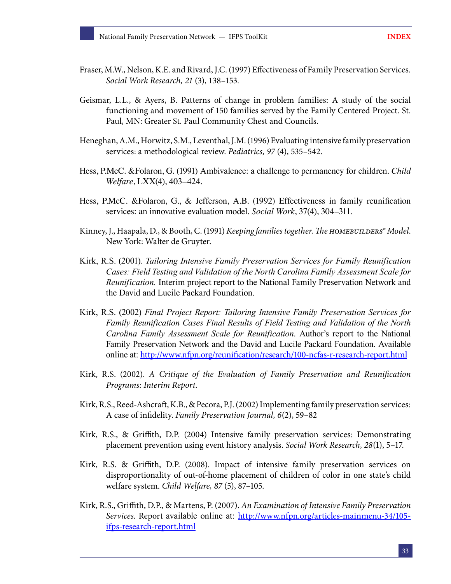- Fraser, M.W., Nelson, K.E. and Rivard, J.C. (1997) Effectiveness of Family Preservation Services. *Social Work Research, 21* (3), 138–153.
- Geismar, L.L., & Ayers, B. Patterns of change in problem families: A study of the social functioning and movement of 150 families served by the Family Centered Project. St. Paul, MN: Greater St. Paul Community Chest and Councils.
- Heneghan, A.M., Horwitz, S.M., Leventhal, J.M. (1996) Evaluating intensive family preservation services: a methodological review. *Pediatrics, 97* (4), 535–542.
- Hess, P.McC. &Folaron, G. (1991) Ambivalence: a challenge to permanency for children. *Child Welfare*, LXX(4), 403–424.
- Hess, P.McC. &Folaron, G., & Jefferson, A.B. (1992) Effectiveness in family reunification services: an innovative evaluation model. *Social Work*, 37(4), 304–311.
- Kinney, J., Haapala, D., & Booth, C. (1991) *Keeping families together. The homebuilders® Model*. New York: Walter de Gruyter.
- Kirk, R.S. (2001). *Tailoring Intensive Family Preservation Services for Family Reunification Cases: Field Testing and Validation of the North Carolina Family Assessment Scale for Reunification.* Interim project report to the National Family Preservation Network and the David and Lucile Packard Foundation.
- Kirk, R.S. (2002) *Final Project Report: Tailoring Intensive Family Preservation Services for Family Reunification Cases Final Results of Field Testing and Validation of the North Carolina Family Assessment Scale for Reunification*. Author's report to the National Family Preservation Network and the David and Lucile Packard Foundation. Available online at: <http://www.nfpn.org/reunification/research/100-ncfas-r-research-report.html>
- Kirk, R.S. (2002). *A Critique of the Evaluation of Family Preservation and Reunification Programs: Interim Report*.
- Kirk, R.S., Reed-Ashcraft, K.B., & Pecora, P.J. (2002) Implementing family preservation services: A case of infidelity. *Family Preservation Journal, 6*(2), 59–82
- Kirk, R.S., & Griffith, D.P. (2004) Intensive family preservation services: Demonstrating placement prevention using event history analysis. *Social Work Research, 28*(1), 5–17.
- Kirk, R.S. & Griffith, D.P. (2008). Impact of intensive family preservation services on disproportionality of out-of-home placement of children of color in one state's child welfare system. *Child Welfare, 87* (5), 87–105.
- Kirk, R.S., Griffith, D.P., & Martens, P. (2007). *An Examination of Intensive Family Preservation Services*. Report available online at: [http://www.nfpn.org/articles-mainmenu-34/105](http://www.nfpn.org/articles-mainmenu-34/105-ifps-research-report.html) [ifps-research-report.html](http://www.nfpn.org/articles-mainmenu-34/105-ifps-research-report.html)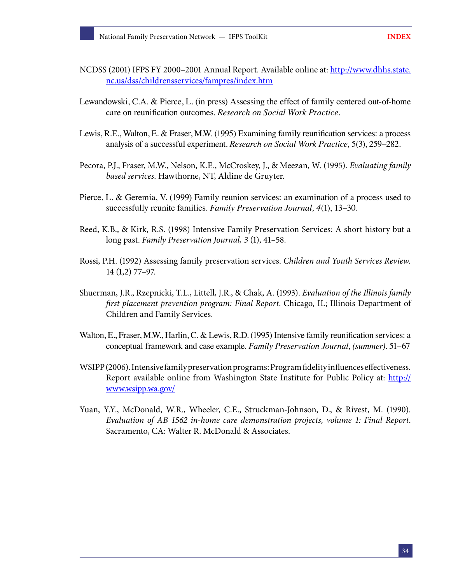- NCDSS (2001) IFPS FY 2000–2001 Annual Report. Available online at: [http://www.dhhs.state.](http://www.dhhs.state.nc.us/dss/childrensservices/fampres/index.htm) [nc.us/dss/childrensservices/fampres/index.htm](http://www.dhhs.state.nc.us/dss/childrensservices/fampres/index.htm)
- Lewandowski, C.A. & Pierce, L. (in press) Assessing the effect of family centered out-of-home care on reunification outcomes. *Research on Social Work Practice.*
- Lewis, R.E., Walton, E. & Fraser, M.W. (1995) Examining family reunification services: a process analysis of a successful experiment. *Research on Social Work Practice,* 5(3), 259–282.
- Pecora, P.J., Fraser, M.W., Nelson, K.E., McCroskey, J., & Meezan, W. (1995). *Evaluating family based services*. Hawthorne, NT, Aldine de Gruyter.
- Pierce, L. & Geremia, V. (1999) Family reunion services: an examination of a process used to successfully reunite families. *Family Preservation Journal, 4*(1), 13–30.
- Reed, K.B., & Kirk, R.S. (1998) Intensive Family Preservation Services: A short history but a long past. *Family Preservation Journal, 3* (1), 41–58.
- Rossi, P.H. (1992) Assessing family preservation services. *Children and Youth Services Review.*  14 (1,2) 77–97.
- Shuerman, J.R., Rzepnicki, T.L., Littell, J.R., & Chak, A. (1993). *Evaluation of the Illinois family first placement prevention program: Final Report*. Chicago, IL; Illinois Department of Children and Family Services.
- Walton, E., Fraser, M.W., Harlin, C. & Lewis, R.D. (1995) Intensive family reunification services: a conceptual framework and case example. *Family Preservation Journal, (summer)*. 51–67
- WSIPP (2006). Intensive family preservation programs: Program fidelity influences effectiveness. Report available online from Washington State Institute for Public Policy at: [http://](http://www.wsipp.wa.gov/) [www.wsipp.wa.gov/](http://www.wsipp.wa.gov/)
- Yuan, Y.Y., McDonald, W.R., Wheeler, C.E., Struckman-Johnson, D., & Rivest, M. (1990). *Evaluation of AB 1562 in-home care demonstration projects, volume 1: Final Report*. Sacramento, CA: Walter R. McDonald & Associates.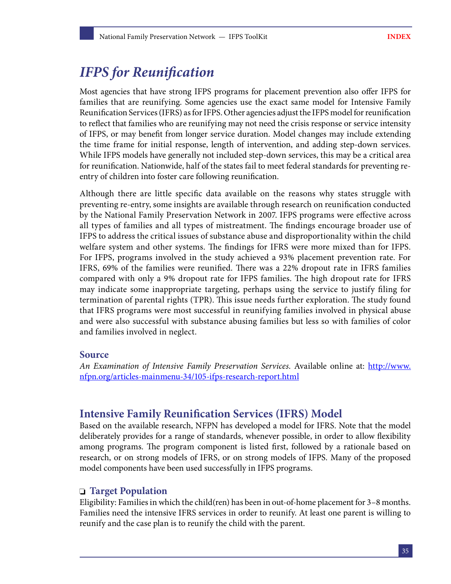## <span id="page-36-0"></span>*IFPS for Reunification*

Most agencies that have strong IFPS programs for placement prevention also offer IFPS for families that are reunifying. Some agencies use the exact same model for Intensive Family Reunification Services (IFRS) as for IFPS. Other agencies adjust the IFPS model for reunification to reflect that families who are reunifying may not need the crisis response or service intensity of IFPS, or may benefit from longer service duration. Model changes may include extending the time frame for initial response, length of intervention, and adding step-down services. While IFPS models have generally not included step-down services, this may be a critical area for reunification. Nationwide, half of the states fail to meet federal standards for preventing reentry of children into foster care following reunification.

Although there are little specific data available on the reasons why states struggle with preventing re-entry, some insights are available through research on reunification conducted by the National Family Preservation Network in 2007. IFPS programs were effective across all types of families and all types of mistreatment. The findings encourage broader use of IFPS to address the critical issues of substance abuse and disproportionality within the child welfare system and other systems. The findings for IFRS were more mixed than for IFPS. For IFPS, programs involved in the study achieved a 93% placement prevention rate. For IFRS, 69% of the families were reunified. There was a 22% dropout rate in IFRS families compared with only a 9% dropout rate for IFPS families. The high dropout rate for IFRS may indicate some inappropriate targeting, perhaps using the service to justify filing for termination of parental rights (TPR). This issue needs further exploration. The study found that IFRS programs were most successful in reunifying families involved in physical abuse and were also successful with substance abusing families but less so with families of color and families involved in neglect.

#### **Source**

*An Examination of Intensive Family Preservation Services*. Available online at: [http://www.](http://www.nfpn.org/articles-mainmenu-34/105-ifps-research-report.html) [nfpn.org/articles-mainmenu-34/105-ifps-research-report.html](http://www.nfpn.org/articles-mainmenu-34/105-ifps-research-report.html)

### **Intensive Family Reunification Services (IFRS) Model**

Based on the available research, NFPN has developed a model for IFRS. Note that the model deliberately provides for a range of standards, whenever possible, in order to allow flexibility among programs. The program component is listed first, followed by a rationale based on research, or on strong models of IFRS, or on strong models of IFPS. Many of the proposed model components have been used successfully in IFPS programs.

#### **Target Population**

Eligibility: Families in which the child(ren) has been in out-of-home placement for 3–8 months. Families need the intensive IFRS services in order to reunify. At least one parent is willing to reunify and the case plan is to reunify the child with the parent.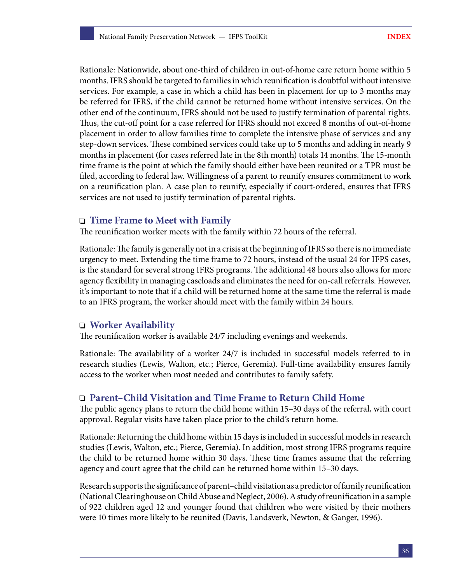Rationale: Nationwide, about one-third of children in out-of-home care return home within 5 months. IFRS should be targeted to families in which reunification is doubtful without intensive services. For example, a case in which a child has been in placement for up to 3 months may be referred for IFRS, if the child cannot be returned home without intensive services. On the other end of the continuum, IFRS should not be used to justify termination of parental rights. Thus, the cut-off point for a case referred for IFRS should not exceed 8 months of out-of-home placement in order to allow families time to complete the intensive phase of services and any step-down services. These combined services could take up to 5 months and adding in nearly 9 months in placement (for cases referred late in the 8th month) totals 14 months. The 15-month time frame is the point at which the family should either have been reunited or a TPR must be filed, according to federal law. Willingness of a parent to reunify ensures commitment to work on a reunification plan. A case plan to reunify, especially if court-ordered, ensures that IFRS services are not used to justify termination of parental rights.

#### **Time Frame to Meet with Family**

The reunification worker meets with the family within 72 hours of the referral.

Rationale: The family is generally not in a crisis at the beginning of IFRS so there is no immediate urgency to meet. Extending the time frame to 72 hours, instead of the usual 24 for IFPS cases, is the standard for several strong IFRS programs. The additional 48 hours also allows for more agency flexibility in managing caseloads and eliminates the need for on-call referrals. However, it's important to note that if a child will be returned home at the same time the referral is made to an IFRS program, the worker should meet with the family within 24 hours.

#### **Worker Availability**

The reunification worker is available 24/7 including evenings and weekends.

Rationale: The availability of a worker 24/7 is included in successful models referred to in research studies (Lewis, Walton, etc.; Pierce, Geremia). Full-time availability ensures family access to the worker when most needed and contributes to family safety.

#### **Parent–Child Visitation and Time Frame to Return Child Home**

The public agency plans to return the child home within 15–30 days of the referral, with court approval. Regular visits have taken place prior to the child's return home.

Rationale: Returning the child home within 15 days is included in successful models in research studies (Lewis, Walton, etc.; Pierce, Geremia). In addition, most strong IFRS programs require the child to be returned home within 30 days. These time frames assume that the referring agency and court agree that the child can be returned home within 15–30 days.

Research supports the significance of parent–child visitation as a predictor of family reunification (National Clearinghouse on Child Abuse and Neglect, 2006). A study of reunification in a sample of 922 children aged 12 and younger found that children who were visited by their mothers were 10 times more likely to be reunited (Davis, Landsverk, Newton, & Ganger, 1996).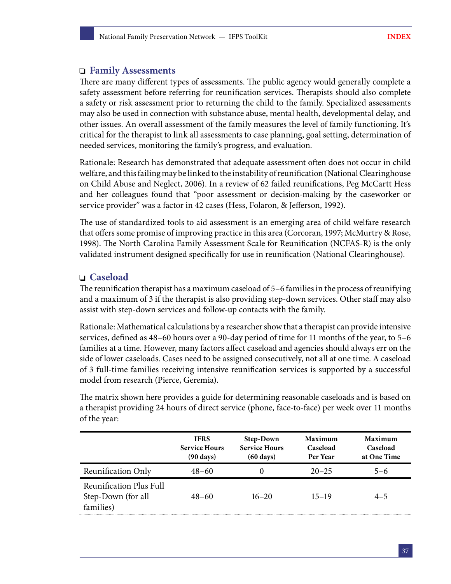#### **Family Assessments**

There are many different types of assessments. The public agency would generally complete a safety assessment before referring for reunification services. Therapists should also complete a safety or risk assessment prior to returning the child to the family. Specialized assessments may also be used in connection with substance abuse, mental health, developmental delay, and other issues. An overall assessment of the family measures the level of family functioning. It's critical for the therapist to link all assessments to case planning, goal setting, determination of needed services, monitoring the family's progress, and evaluation.

Rationale: Research has demonstrated that adequate assessment often does not occur in child welfare, and this failing may be linked to the instability of reunification (National Clearinghouse on Child Abuse and Neglect, 2006). In a review of 62 failed reunifications, Peg McCartt Hess and her colleagues found that "poor assessment or decision-making by the caseworker or service provider" was a factor in 42 cases (Hess, Folaron, & Jefferson, 1992).

The use of standardized tools to aid assessment is an emerging area of child welfare research that offers some promise of improving practice in this area (Corcoran, 1997; McMurtry & Rose, 1998). The North Carolina Family Assessment Scale for Reunification (NCFAS-R) is the only validated instrument designed specifically for use in reunification (National Clearinghouse).

#### **Caseload**

The reunification therapist has a maximum caseload of 5–6 families in the process of reunifying and a maximum of 3 if the therapist is also providing step-down services. Other staff may also assist with step-down services and follow-up contacts with the family.

Rationale: Mathematical calculations by a researcher show that a therapist can provide intensive services, defined as 48–60 hours over a 90-day period of time for 11 months of the year, to 5–6 families at a time. However, many factors affect caseload and agencies should always err on the side of lower caseloads. Cases need to be assigned consecutively, not all at one time. A caseload of 3 full-time families receiving intensive reunification services is supported by a successful model from research (Pierce, Geremia).

The matrix shown here provides a guide for determining reasonable caseloads and is based on a therapist providing 24 hours of direct service (phone, face-to-face) per week over 11 months of the year:

|                                                                   | <b>IFRS</b><br><b>Service Hours</b><br>$(90 \text{ days})$ | <b>Step-Down</b><br><b>Service Hours</b><br>$(60 \text{ days})$ | Maximum<br>Caseload<br>Per Year | Maximum<br>Caseload<br>at One Time |
|-------------------------------------------------------------------|------------------------------------------------------------|-----------------------------------------------------------------|---------------------------------|------------------------------------|
| Reunification Only                                                | $48 - 60$                                                  | $\Omega$                                                        | $20 - 25$                       | $5 - 6$                            |
| <b>Reunification Plus Full</b><br>Step-Down (for all<br>families) | $48 - 60$                                                  | $16 - 20$                                                       | $15 - 19$                       | $4 - 5$                            |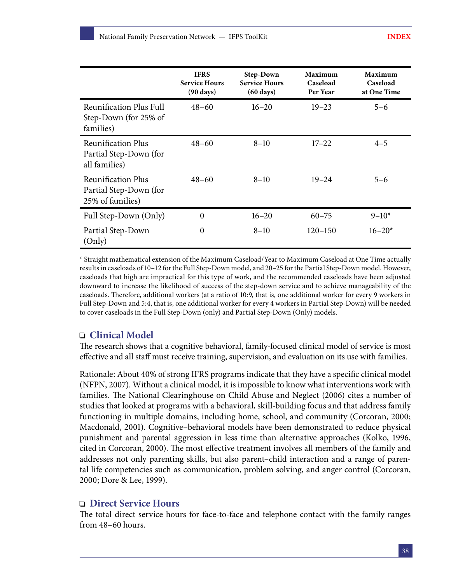|                                                                      | <b>IFRS</b><br><b>Service Hours</b><br>$(90 \text{ days})$ | <b>Step-Down</b><br><b>Service Hours</b><br>$(60 \text{ days})$ | Maximum<br>Caseload<br>Per Year | <b>Maximum</b><br>Caseload<br>at One Time |
|----------------------------------------------------------------------|------------------------------------------------------------|-----------------------------------------------------------------|---------------------------------|-------------------------------------------|
| <b>Reunification Plus Full</b><br>Step-Down (for 25% of<br>families) | $48 - 60$                                                  | $16 - 20$                                                       | $19 - 23$                       | $5 - 6$                                   |
| Reunification Plus<br>Partial Step-Down (for<br>all families)        | $48 - 60$                                                  | $8 - 10$                                                        | $17 - 22$                       | $4 - 5$                                   |
| Reunification Plus<br>Partial Step-Down (for<br>25% of families)     | $48 - 60$                                                  | $8 - 10$                                                        | $19 - 24$                       | $5 - 6$                                   |
| Full Step-Down (Only)                                                | $\mathbf{0}$                                               | $16 - 20$                                                       | $60 - 75$                       | $9 - 10*$                                 |
| Partial Step-Down<br>(Only)                                          | $\mathbf{0}$                                               | $8 - 10$                                                        | $120 - 150$                     | $16 - 20*$                                |

\* Straight mathematical extension of the Maximum Caseload/Year to Maximum Caseload at One Time actually results in caseloads of 10–12 for the Full Step-Down model, and 20–25 for the Partial Step-Down model. However, caseloads that high are impractical for this type of work, and the recommended caseloads have been adjusted downward to increase the likelihood of success of the step-down service and to achieve manageability of the caseloads. Therefore, additional workers (at a ratio of 10:9, that is, one additional worker for every 9 workers in Full Step-Down and 5:4, that is, one additional worker for every 4 workers in Partial Step-Down) will be needed to cover caseloads in the Full Step-Down (only) and Partial Step-Down (Only) models.

#### **Clinical Model**

The research shows that a cognitive behavioral, family-focused clinical model of service is most effective and all staff must receive training, supervision, and evaluation on its use with families.

Rationale: About 40% of strong IFRS programs indicate that they have a specific clinical model (NFPN, 2007). Without a clinical model, it is impossible to know what interventions work with families. The National Clearinghouse on Child Abuse and Neglect (2006) cites a number of studies that looked at programs with a behavioral, skill-building focus and that address family functioning in multiple domains, including home, school, and community (Corcoran, 2000; Macdonald, 2001). Cognitive–behavioral models have been demonstrated to reduce physical punishment and parental aggression in less time than alternative approaches (Kolko, 1996, cited in Corcoran, 2000). The most effective treatment involves all members of the family and addresses not only parenting skills, but also parent–child interaction and a range of parental life competencies such as communication, problem solving, and anger control (Corcoran, 2000; Dore & Lee, 1999).

#### **Direct Service Hours**

The total direct service hours for face-to-face and telephone contact with the family ranges from 48–60 hours.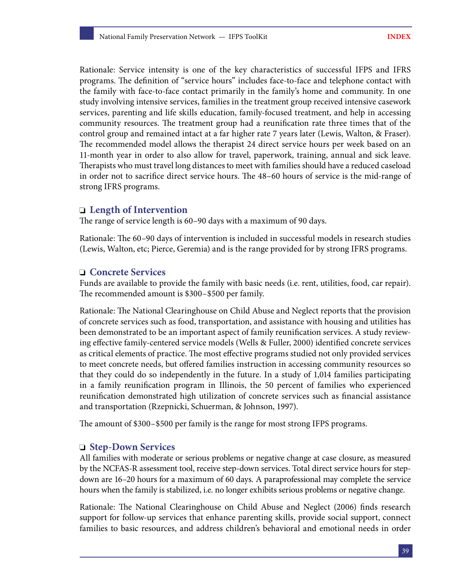Rationale: Service intensity is one of the key characteristics of successful IFPS and IFRS programs. The definition of "service hours" includes face-to-face and telephone contact with the family with face-to-face contact primarily in the family's home and community. In one study involving intensive services, families in the treatment group received intensive casework services, parenting and life skills education, family-focused treatment, and help in accessing community resources. The treatment group had a reunification rate three times that of the control group and remained intact at a far higher rate 7 years later (Lewis, Walton, & Fraser). The recommended model allows the therapist 24 direct service hours per week based on an 11-month year in order to also allow for travel, paperwork, training, annual and sick leave. Therapists who must travel long distances to meet with families should have a reduced caseload in order not to sacrifice direct service hours. The 48–60 hours of service is the mid-range of strong IFRS programs.

#### **Length of Intervention**

The range of service length is 60–90 days with a maximum of 90 days.

Rationale: The 60–90 days of intervention is included in successful models in research studies (Lewis, Walton, etc; Pierce, Geremia) and is the range provided for by strong IFRS programs.

#### **Concrete Services**

Funds are available to provide the family with basic needs (i.e. rent, utilities, food, car repair). The recommended amount is \$300–\$500 per family.

Rationale: The National Clearinghouse on Child Abuse and Neglect reports that the provision of concrete services such as food, transportation, and assistance with housing and utilities has been demonstrated to be an important aspect of family reunification services. A study reviewing effective family-centered service models (Wells & Fuller, 2000) identified concrete services as critical elements of practice. The most effective programs studied not only provided services to meet concrete needs, but offered families instruction in accessing community resources so that they could do so independently in the future. In a study of 1,014 families participating in a family reunification program in Illinois, the 50 percent of families who experienced reunification demonstrated high utilization of concrete services such as financial assistance and transportation (Rzepnicki, Schuerman, & Johnson, 1997).

The amount of \$300–\$500 per family is the range for most strong IFPS programs.

#### **Step-Down Services**

All families with moderate or serious problems or negative change at case closure, as measured by the NCFAS-R assessment tool, receive step-down services. Total direct service hours for stepdown are 16–20 hours for a maximum of 60 days. A paraprofessional may complete the service hours when the family is stabilized, i.e. no longer exhibits serious problems or negative change.

Rationale: The National Clearinghouse on Child Abuse and Neglect (2006) finds research support for follow-up services that enhance parenting skills, provide social support, connect families to basic resources, and address children's behavioral and emotional needs in order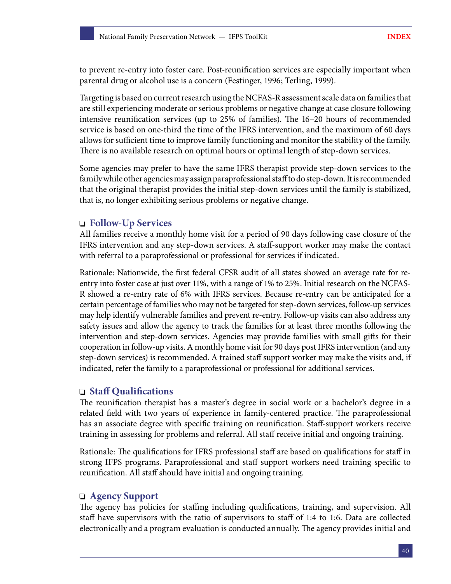to prevent re-entry into foster care. Post-reunification services are especially important when parental drug or alcohol use is a concern (Festinger, 1996; Terling, 1999).

Targeting is based on current research using the NCFAS-R assessment scale data on families that are still experiencing moderate or serious problems or negative change at case closure following intensive reunification services (up to 25% of families). The 16–20 hours of recommended service is based on one-third the time of the IFRS intervention, and the maximum of 60 days allows for sufficient time to improve family functioning and monitor the stability of the family. There is no available research on optimal hours or optimal length of step-down services.

Some agencies may prefer to have the same IFRS therapist provide step-down services to the family while other agencies may assign paraprofessional staff to do step-down. It is recommended that the original therapist provides the initial step-down services until the family is stabilized, that is, no longer exhibiting serious problems or negative change.

#### **Follow-Up Services**

All families receive a monthly home visit for a period of 90 days following case closure of the IFRS intervention and any step-down services. A staff-support worker may make the contact with referral to a paraprofessional or professional for services if indicated.

Rationale: Nationwide, the first federal CFSR audit of all states showed an average rate for reentry into foster case at just over 11%, with a range of 1% to 25%. Initial research on the NCFAS-R showed a re-entry rate of 6% with IFRS services. Because re-entry can be anticipated for a certain percentage of families who may not be targeted for step-down services, follow-up services may help identify vulnerable families and prevent re-entry. Follow-up visits can also address any safety issues and allow the agency to track the families for at least three months following the intervention and step-down services. Agencies may provide families with small gifts for their cooperation in follow-up visits. A monthly home visit for 90 days post IFRS intervention (and any step-down services) is recommended. A trained staff support worker may make the visits and, if indicated, refer the family to a paraprofessional or professional for additional services.

#### **Staff Qualifications**

The reunification therapist has a master's degree in social work or a bachelor's degree in a related field with two years of experience in family-centered practice. The paraprofessional has an associate degree with specific training on reunification. Staff-support workers receive training in assessing for problems and referral. All staff receive initial and ongoing training.

Rationale: The qualifications for IFRS professional staff are based on qualifications for staff in strong IFPS programs. Paraprofessional and staff support workers need training specific to reunification. All staff should have initial and ongoing training.

#### **Agency Support**

The agency has policies for staffing including qualifications, training, and supervision. All staff have supervisors with the ratio of supervisors to staff of 1:4 to 1:6. Data are collected electronically and a program evaluation is conducted annually. The agency provides initial and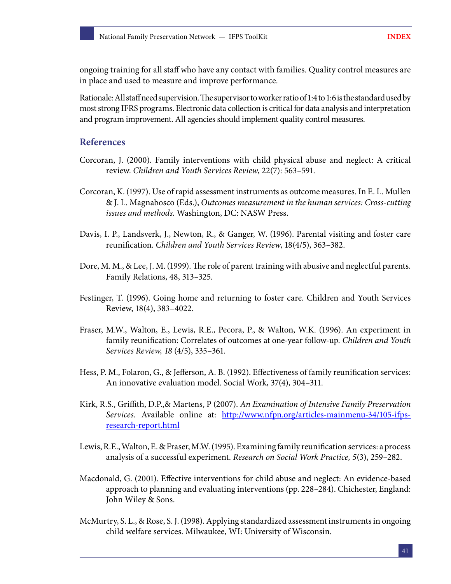ongoing training for all staff who have any contact with families. Quality control measures are in place and used to measure and improve performance.

Rationale: All staff need supervision. The supervisor to worker ratio of 1:4 to 1:6 is the standard used by most strong IFRS programs. Electronic data collection is critical for data analysis and interpretation and program improvement. All agencies should implement quality control measures.

#### **References**

- Corcoran, J. (2000). Family interventions with child physical abuse and neglect: A critical review. *Children and Youth Services Review*, 22(7): 563–591.
- Corcoran, K. (1997). Use of rapid assessment instruments as outcome measures. In E. L. Mullen & J. L. Magnabosco (Eds.), *Outcomes measurement in the human services: Cross-cutting issues and methods*. Washington, DC: NASW Press.
- Davis, I. P., Landsverk, J., Newton, R., & Ganger, W. (1996). Parental visiting and foster care reunification. *Children and Youth Services Review*, 18(4/5), 363–382.
- Dore, M. M., & Lee, J. M. (1999). The role of parent training with abusive and neglectful parents. Family Relations, 48, 313–325.
- Festinger, T. (1996). Going home and returning to foster care. Children and Youth Services Review, 18(4), 383–4022.
- Fraser, M.W., Walton, E., Lewis, R.E., Pecora, P., & Walton, W.K. (1996). An experiment in family reunification: Correlates of outcomes at one-year follow-up. *Children and Youth Services Review, 18* (4/5), 335–361.
- Hess, P. M., Folaron, G., & Jefferson, A. B. (1992). Effectiveness of family reunification services: An innovative evaluation model. Social Work, 37(4), 304–311.
- Kirk, R.S., Griffith, D.P.,& Martens, P (2007). *An Examination of Intensive Family Preservation Services.* Available online at: [http://www.nfpn.org/articles-mainmenu-34/105-ifps](http://www.nfpn.org/articles-mainmenu-34/105-ifps-research-report.html)[research-report.html](http://www.nfpn.org/articles-mainmenu-34/105-ifps-research-report.html)
- Lewis, R.E., Walton, E. & Fraser, M.W. (1995). Examining family reunification services: a process analysis of a successful experiment. *Research on Social Work Practice, 5*(3), 259–282.
- Macdonald, G. (2001). Effective interventions for child abuse and neglect: An evidence-based approach to planning and evaluating interventions (pp. 228–284). Chichester, England: John Wiley & Sons.
- McMurtry, S. L., & Rose, S. J. (1998). Applying standardized assessment instruments in ongoing child welfare services. Milwaukee, WI: University of Wisconsin.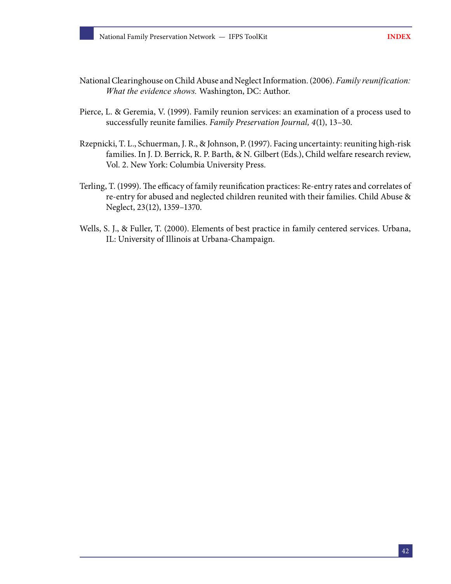- National Clearinghouse on Child Abuse and Neglect Information. (2006). *Family reunification: What the evidence shows.* Washington, DC: Author.
- Pierce, L. & Geremia, V. (1999). Family reunion services: an examination of a process used to successfully reunite families. *Family Preservation Journal, 4*(1), 13–30.
- Rzepnicki, T. L., Schuerman, J. R., & Johnson, P. (1997). Facing uncertainty: reuniting high-risk families. In J. D. Berrick, R. P. Barth, & N. Gilbert (Eds.), Child welfare research review, Vol. 2. New York: Columbia University Press.
- Terling, T. (1999). The efficacy of family reunification practices: Re-entry rates and correlates of re-entry for abused and neglected children reunited with their families. Child Abuse & Neglect, 23(12), 1359–1370.
- Wells, S. J., & Fuller, T. (2000). Elements of best practice in family centered services. Urbana, IL: University of Illinois at Urbana-Champaign.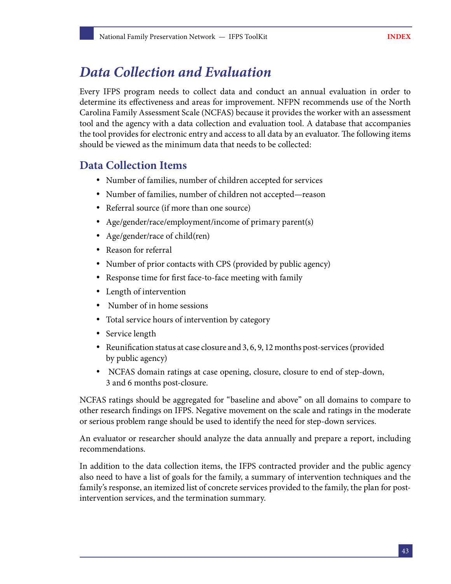## <span id="page-44-0"></span>*Data Collection and Evaluation*

Every IFPS program needs to collect data and conduct an annual evaluation in order to determine its effectiveness and areas for improvement. NFPN recommends use of the North Carolina Family Assessment Scale (NCFAS) because it provides the worker with an assessment tool and the agency with a data collection and evaluation tool. A database that accompanies the tool provides for electronic entry and access to all data by an evaluator. The following items should be viewed as the minimum data that needs to be collected:

## **Data Collection Items**

- Number of families, number of children accepted for services
- Number of families, number of children not accepted—reason
- Referral source (if more than one source)
- Age/gender/race/employment/income of primary parent(s)
- Age/gender/race of child(ren)
- Reason for referral
- Number of prior contacts with CPS (provided by public agency)
- Response time for first face-to-face meeting with family
- Length of intervention
- Number of in home sessions
- Total service hours of intervention by category
- Service length
- Reunification status at case closure and 3, 6, 9, 12 months post-services (provided by public agency)
- NCFAS domain ratings at case opening, closure, closure to end of step-down, 3 and 6 months post-closure.

NCFAS ratings should be aggregated for "baseline and above" on all domains to compare to other research findings on IFPS. Negative movement on the scale and ratings in the moderate or serious problem range should be used to identify the need for step-down services.

An evaluator or researcher should analyze the data annually and prepare a report, including recommendations.

In addition to the data collection items, the IFPS contracted provider and the public agency also need to have a list of goals for the family, a summary of intervention techniques and the family's response, an itemized list of concrete services provided to the family, the plan for postintervention services, and the termination summary.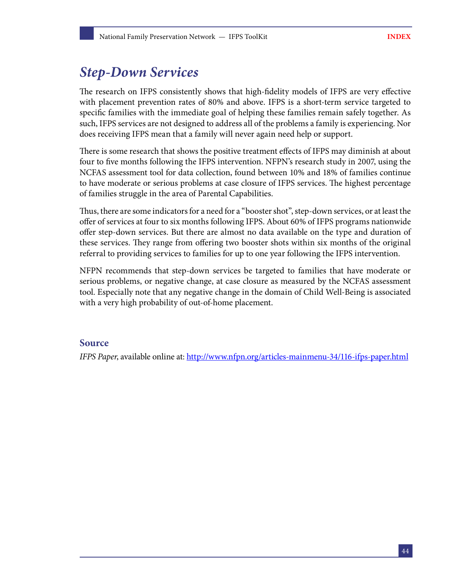## <span id="page-45-0"></span>*Step-Down Services*

The research on IFPS consistently shows that high-fidelity models of IFPS are very effective with placement prevention rates of 80% and above. IFPS is a short-term service targeted to specific families with the immediate goal of helping these families remain safely together. As such, IFPS services are not designed to address all of the problems a family is experiencing. Nor does receiving IFPS mean that a family will never again need help or support.

There is some research that shows the positive treatment effects of IFPS may diminish at about four to five months following the IFPS intervention. NFPN's research study in 2007, using the NCFAS assessment tool for data collection, found between 10% and 18% of families continue to have moderate or serious problems at case closure of IFPS services. The highest percentage of families struggle in the area of Parental Capabilities.

Thus, there are some indicators for a need for a "booster shot", step-down services, or at least the offer of services at four to six months following IFPS. About 60% of IFPS programs nationwide offer step-down services. But there are almost no data available on the type and duration of these services. They range from offering two booster shots within six months of the original referral to providing services to families for up to one year following the IFPS intervention.

NFPN recommends that step-down services be targeted to families that have moderate or serious problems, or negative change, at case closure as measured by the NCFAS assessment tool. Especially note that any negative change in the domain of Child Well-Being is associated with a very high probability of out-of-home placement.

#### **Source**

*IFPS Paper*, available online at:<http://www.nfpn.org/articles-mainmenu-34/116-ifps-paper.html>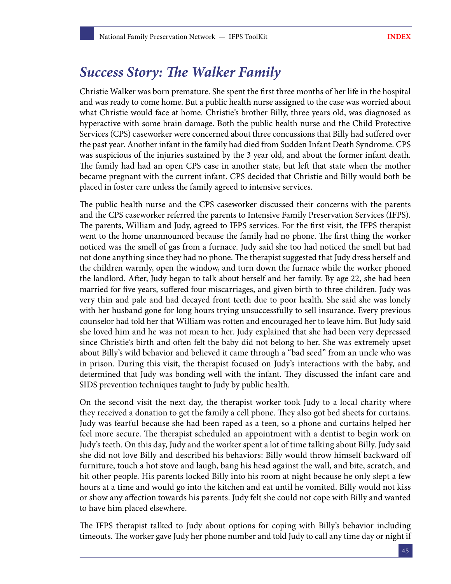## <span id="page-46-0"></span>*Success Story: The Walker Family*

Christie Walker was born premature. She spent the first three months of her life in the hospital and was ready to come home. But a public health nurse assigned to the case was worried about what Christie would face at home. Christie's brother Billy, three years old, was diagnosed as hyperactive with some brain damage. Both the public health nurse and the Child Protective Services (CPS) caseworker were concerned about three concussions that Billy had suffered over the past year. Another infant in the family had died from Sudden Infant Death Syndrome. CPS was suspicious of the injuries sustained by the 3 year old, and about the former infant death. The family had had an open CPS case in another state, but left that state when the mother became pregnant with the current infant. CPS decided that Christie and Billy would both be placed in foster care unless the family agreed to intensive services.

The public health nurse and the CPS caseworker discussed their concerns with the parents and the CPS caseworker referred the parents to Intensive Family Preservation Services (IFPS). The parents, William and Judy, agreed to IFPS services. For the first visit, the IFPS therapist went to the home unannounced because the family had no phone. The first thing the worker noticed was the smell of gas from a furnace. Judy said she too had noticed the smell but had not done anything since they had no phone. The therapist suggested that Judy dress herself and the children warmly, open the window, and turn down the furnace while the worker phoned the landlord. After, Judy began to talk about herself and her family. By age 22, she had been married for five years, suffered four miscarriages, and given birth to three children. Judy was very thin and pale and had decayed front teeth due to poor health. She said she was lonely with her husband gone for long hours trying unsuccessfully to sell insurance. Every previous counselor had told her that William was rotten and encouraged her to leave him. But Judy said she loved him and he was not mean to her. Judy explained that she had been very depressed since Christie's birth and often felt the baby did not belong to her. She was extremely upset about Billy's wild behavior and believed it came through a "bad seed" from an uncle who was in prison. During this visit, the therapist focused on Judy's interactions with the baby, and determined that Judy was bonding well with the infant. They discussed the infant care and SIDS prevention techniques taught to Judy by public health.

On the second visit the next day, the therapist worker took Judy to a local charity where they received a donation to get the family a cell phone. They also got bed sheets for curtains. Judy was fearful because she had been raped as a teen, so a phone and curtains helped her feel more secure. The therapist scheduled an appointment with a dentist to begin work on Judy's teeth. On this day, Judy and the worker spent a lot of time talking about Billy. Judy said she did not love Billy and described his behaviors: Billy would throw himself backward off furniture, touch a hot stove and laugh, bang his head against the wall, and bite, scratch, and hit other people. His parents locked Billy into his room at night because he only slept a few hours at a time and would go into the kitchen and eat until he vomited. Billy would not kiss or show any affection towards his parents. Judy felt she could not cope with Billy and wanted to have him placed elsewhere.

The IFPS therapist talked to Judy about options for coping with Billy's behavior including timeouts. The worker gave Judy her phone number and told Judy to call any time day or night if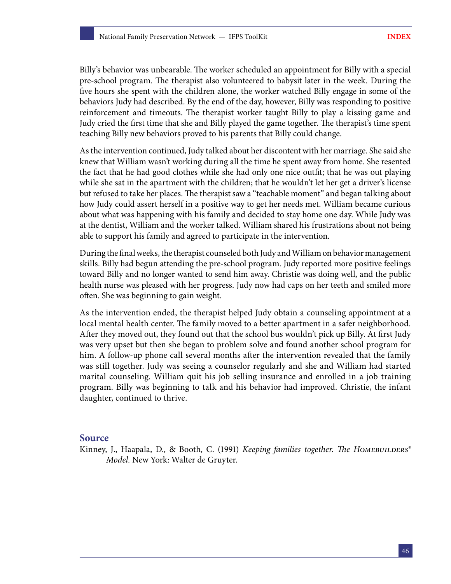Billy's behavior was unbearable. The worker scheduled an appointment for Billy with a special pre-school program. The therapist also volunteered to babysit later in the week. During the five hours she spent with the children alone, the worker watched Billy engage in some of the behaviors Judy had described. By the end of the day, however, Billy was responding to positive reinforcement and timeouts. The therapist worker taught Billy to play a kissing game and Judy cried the first time that she and Billy played the game together. The therapist's time spent teaching Billy new behaviors proved to his parents that Billy could change.

As the intervention continued, Judy talked about her discontent with her marriage. She said she knew that William wasn't working during all the time he spent away from home. She resented the fact that he had good clothes while she had only one nice outfit; that he was out playing while she sat in the apartment with the children; that he wouldn't let her get a driver's license but refused to take her places. The therapist saw a "teachable moment" and began talking about how Judy could assert herself in a positive way to get her needs met. William became curious about what was happening with his family and decided to stay home one day. While Judy was at the dentist, William and the worker talked. William shared his frustrations about not being able to support his family and agreed to participate in the intervention.

During the final weeks, the therapist counseled both Judy and William on behavior management skills. Billy had begun attending the pre-school program. Judy reported more positive feelings toward Billy and no longer wanted to send him away. Christie was doing well, and the public health nurse was pleased with her progress. Judy now had caps on her teeth and smiled more often. She was beginning to gain weight.

As the intervention ended, the therapist helped Judy obtain a counseling appointment at a local mental health center. The family moved to a better apartment in a safer neighborhood. After they moved out, they found out that the school bus wouldn't pick up Billy. At first Judy was very upset but then she began to problem solve and found another school program for him. A follow-up phone call several months after the intervention revealed that the family was still together. Judy was seeing a counselor regularly and she and William had started marital counseling. William quit his job selling insurance and enrolled in a job training program. Billy was beginning to talk and his behavior had improved. Christie, the infant daughter, continued to thrive.

#### **Source**

Kinney, J., Haapala, D., & Booth, C. (1991) *Keeping families together. The Homebuilders® Model.* New York: Walter de Gruyter.